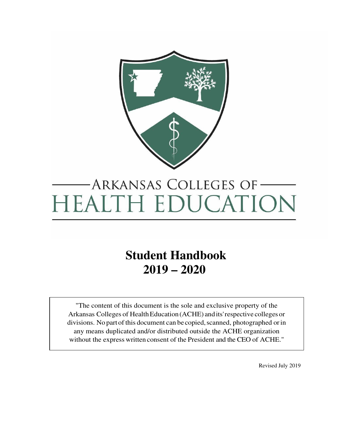

# ARKANSAS COLLEGES OF-**HEALTH EDUCATION**

# **Student Handbook 2019 – 2020**

"The content of this document is the sole and exclusive property of the Arkansas Colleges of HealthEducation (ACHE) andits'respective colleges or divisions. No part of this document can be copied, scanned, photographed or in any means duplicated and/or distributed outside the ACHE organization without the express written consent of the President and the CEO of ACHE."

Revised July 2019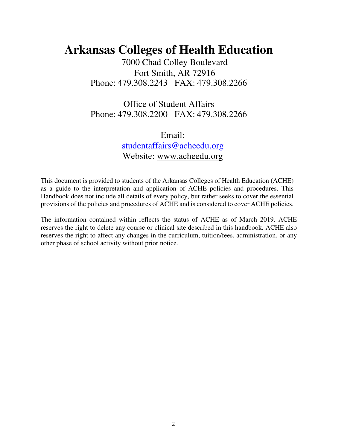# **Arkansas Colleges of Health Education**

7000 Chad Colley Boulevard Fort Smith, AR 72916 Phone: 479.308.2243 FAX: 479.308.2266

Office of Student Affairs Phone: 479.308.2200 FAX: 479.308.2266

> Email: [studentaffairs@acheedu.org](mailto:studentaffairs@acheedu.org) Website: [www.acheedu.org](http://www.acheedu.org/)

This document is provided to students of the Arkansas Colleges of Health Education (ACHE) as a guide to the interpretation and application of ACHE policies and procedures. This Handbook does not include all details of every policy, but rather seeks to cover the essential provisions of the policies and procedures of ACHE and is considered to cover ACHE policies.

The information contained within reflects the status of ACHE as of March 2019. ACHE reserves the right to delete any course or clinical site described in this handbook. ACHE also reserves the right to affect any changes in the curriculum, tuition/fees, administration, or any other phase of school activity without prior notice.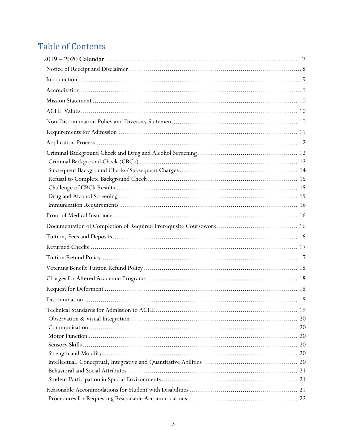# **Table of Contents**

| 20 |
|----|
|    |
|    |
|    |
|    |
|    |
|    |
|    |
|    |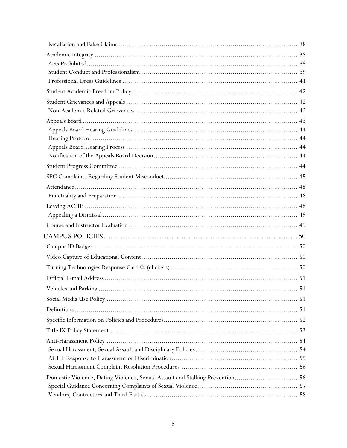| Domestic Violence, Dating Violence, Sexual Assault and Stalking Prevention 56 |  |
|-------------------------------------------------------------------------------|--|
|                                                                               |  |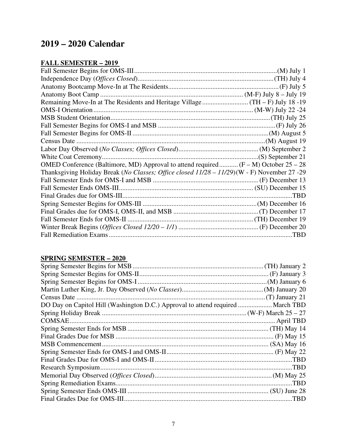## <span id="page-6-0"></span>**2019 – 2020 Calendar**

#### **FALL SEMESTER – 2019**

| OMED Conference (Baltimore, MD) Approval to attend required $(F - M)$ October 25 – 28        |      |
|----------------------------------------------------------------------------------------------|------|
| Thanksgiving Holiday Break (No Classes; Office closed 11/28 - 11/29) (W - F) November 27 -29 |      |
|                                                                                              |      |
|                                                                                              |      |
|                                                                                              | .TBD |
|                                                                                              |      |
|                                                                                              |      |
|                                                                                              |      |
|                                                                                              |      |
|                                                                                              | .TBD |
|                                                                                              |      |

#### **SPRING SEMESTER – 2020**

| DO Day on Capitol Hill (Washington D.C.) Approval to attend required  March TBD |      |
|---------------------------------------------------------------------------------|------|
|                                                                                 |      |
|                                                                                 |      |
|                                                                                 |      |
|                                                                                 |      |
|                                                                                 |      |
|                                                                                 |      |
|                                                                                 | .TBD |
|                                                                                 |      |
|                                                                                 |      |
|                                                                                 | TBD. |
|                                                                                 |      |
|                                                                                 |      |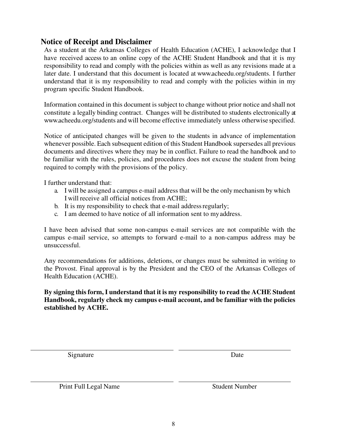#### <span id="page-7-0"></span>**Notice of Receipt and Disclaimer**

As a student at the Arkansas Colleges of Health Education (ACHE), I acknowledge that I have received access to an online copy of the ACHE Student Handbook and that it is my responsibility to read and comply with the policies within as well as any revisions made at a later date. I understand that this document is located at www.acheedu.org/students. I further understand that it is my responsibility to read and comply with the policies within in my program specific Student Handbook.

Information contained in this document is subject to change without prior notice and shall not constitute a legally binding contract. Changes will be distributed to students electronically at www.acheedu.org/students and will become effective immediately unless otherwise specified.

Notice of anticipated changes will be given to the students in advance of implementation whenever possible. Each subsequent edition of this Student Handbook supersedes all previous documents and directives where they may be in conflict. Failure to read the handbook and to be familiar with the rules, policies, and procedures does not excuse the student from being required to comply with the provisions of the policy.

I further understand that:

- a. I will be assigned a campus e-mail address that will be the only mechanism by which I will receive all official notices from ACHE;
- b. It is my responsibility to check that e-mail address regularly;
- c. I am deemed to have notice of all information sent to my address.

I have been advised that some non-campus e-mail services are not compatible with the campus e-mail service, so attempts to forward e-mail to a non-campus address may be unsuccessful.

Any recommendations for additions, deletions, or changes must be submitted in writing to the Provost. Final approval is by the President and the CEO of the Arkansas Colleges of Health Education (ACHE).

**By signing this form, I understand that it is my responsibility to read the ACHE Student Handbook, regularly check my campus e-mail account, and be familiar with the policies established by ACHE.** 

Signature Date

Print Full Legal Name Student Number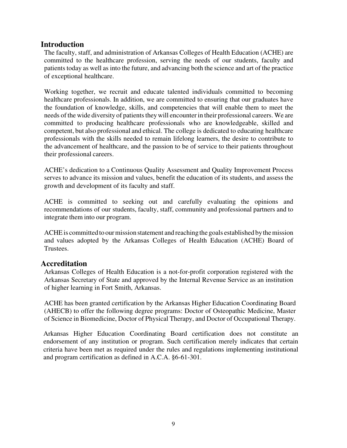#### <span id="page-8-0"></span>**Introduction**

The faculty, staff, and administration of Arkansas Colleges of Health Education (ACHE) are committed to the healthcare profession, serving the needs of our students, faculty and patients today as well as into the future, and advancing both the science and art of the practice of exceptional healthcare.

Working together, we recruit and educate talented individuals committed to becoming healthcare professionals. In addition, we are committed to ensuring that our graduates have the foundation of knowledge, skills, and competencies that will enable them to meet the needs of the wide diversity of patients they will encounter in their professional careers. We are committed to producing healthcare professionals who are knowledgeable, skilled and competent, but also professional and ethical. The college is dedicated to educating healthcare professionals with the skills needed to remain lifelong learners, the desire to contribute to the advancement of healthcare, and the passion to be of service to their patients throughout their professional careers.

ACHE's dedication to a Continuous Quality Assessment and Quality Improvement Process serves to advance its mission and values, benefit the education of its students, and assess the growth and development of its faculty and staff.

ACHE is committed to seeking out and carefully evaluating the opinions and recommendations of our students, faculty, staff, community and professional partners and to integrate them into our program.

ACHE is committed to our mission statement and reaching the goals established by the mission and values adopted by the Arkansas Colleges of Health Education (ACHE) Board of Trustees.

#### <span id="page-8-1"></span>**Accreditation**

Arkansas Colleges of Health Education is a not-for-profit corporation registered with the Arkansas Secretary of State and approved by the Internal Revenue Service as an institution of higher learning in Fort Smith, Arkansas.

ACHE has been granted certification by the Arkansas Higher Education Coordinating Board (AHECB) to offer the following degree programs: Doctor of Osteopathic Medicine, Master of Science in Biomedicine, Doctor of Physical Therapy, and Doctor of Occupational Therapy.

Arkansas Higher Education Coordinating Board certification does not constitute an endorsement of any institution or program. Such certification merely indicates that certain criteria have been met as required under the rules and regulations implementing institutional and program certification as defined in A.C.A. §6-61-301.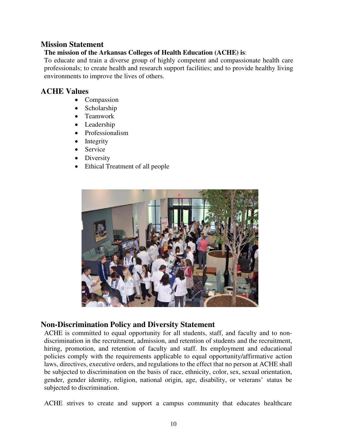#### <span id="page-9-0"></span>**Mission Statement**

#### **The mission of the Arkansas Colleges of Health Education (ACHE) is**:

To educate and train a diverse group of highly competent and compassionate health care professionals; to create health and research support facilities; and to provide healthy living environments to improve the lives of others.

#### <span id="page-9-1"></span>**ACHE Values**

- Compassion
- Scholarship
- Teamwork
- Leadership
- Professionalism
- Integrity
- Service
- Diversity
- Ethical Treatment of all people



#### <span id="page-9-2"></span>**Non-Discrimination Policy and Diversity Statement**

ACHE is committed to equal opportunity for all students, staff, and faculty and to nondiscrimination in the recruitment, admission, and retention of students and the recruitment, hiring, promotion, and retention of faculty and staff. Its employment and educational policies comply with the requirements applicable to equal opportunity/affirmative action laws, directives, executive orders, and regulations to the effect that no person at ACHE shall be subjected to discrimination on the basis of race, ethnicity, color, sex, sexual orientation, gender, gender identity, religion, national origin, age, disability, or veterans' status be subjected to discrimination.

ACHE strives to create and support a campus community that educates healthcare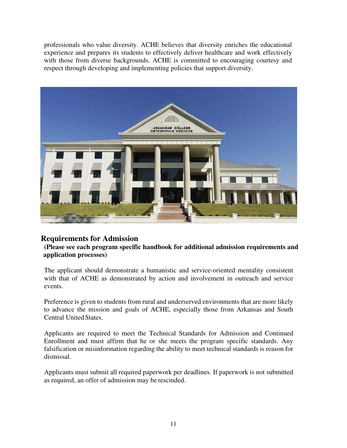professionals who value diversity. ACHE believes that diversity enriches the educational experience and prepares its students to effectively deliver healthcare and work effectively with those from diverse backgrounds. ACHE is committed to encouraging courtesy and respect through developing and implementing policies that support diversity.



#### <span id="page-10-0"></span>**Requirements for Admission**

**(Please see each program specific handbook for additional admission requirements and application processes)**

The applicant should demonstrate a humanistic and service-oriented mentality consistent with that of ACHE as demonstrated by action and involvement in outreach and service events.

Preference is given to students from rural and underserved environments that are more likely to advance the mission and goals of ACHE, especially those from Arkansas and South Central United States.

Applicants are required to meet the Technical Standards for Admission and Continued Enrollment and must affirm that he or she meets the program specific standards. Any falsification or misinformation regarding the ability to meet technical standards is reason for dismissal.

Applicants must submit all required paperwork per deadlines. If paperwork is not submitted as required, an offer of admission may be rescinded.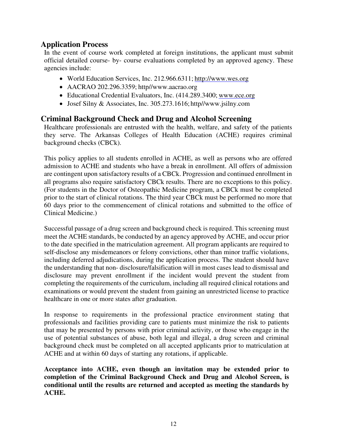#### <span id="page-11-0"></span>**Application Process**

In the event of course work completed at foreign institutions, the applicant must submit official detailed course- by- course evaluations completed by an approved agency. These agencies include:

- World Education Services, Inc. 212.966.6311; http://www.wes.org
- AACRAO 202.296.3359; http//www.aacrao.org
- Educational Credential Evaluators, Inc. (414.289.3400; [www.ece.org](http://www.ece.org/)
- Josef Silny & Associates, [Inc. 305.273.1616; http//www.jsilny.com](http://www.jsilny.com/)

#### <span id="page-11-1"></span>**Criminal Background Check and Drug and Alcohol Screening**

Healthcare professionals are entrusted with the health, welfare, and safety of the patients they serve. The Arkansas Colleges of Health Education (ACHE) requires criminal background checks (CBCk).

This policy applies to all students enrolled in ACHE, as well as persons who are offered admission to ACHE and students who have a break in enrollment. All offers of admission are contingent upon satisfactory results of a CBCk. Progression and continued enrollment in all programs also require satisfactory CBCk results. There are no exceptions to this policy. (For students in the Doctor of Osteopathic Medicine program, a CBCk must be completed prior to the start of clinical rotations. The third year CBCk must be performed no more that 60 days prior to the commencement of clinical rotations and submitted to the office of Clinical Medicine.)

Successful passage of a drug screen and background check is required. This screening must meet the ACHE standards, be conducted by an agency approved by ACHE, and occur prior to the date specified in the matriculation agreement. All program applicants are required to self-disclose any misdemeanors or felony convictions, other than minor traffic violations, including deferred adjudications, during the application process. The student should have the understanding that non- disclosure/falsification will in most cases lead to dismissal and disclosure may prevent enrollment if the incident would prevent the student from completing the requirements of the curriculum, including all required clinical rotations and examinations or would prevent the student from gaining an unrestricted license to practice healthcare in one or more states after graduation.

In response to requirements in the professional practice environment stating that professionals and facilities providing care to patients must minimize the risk to patients that may be presented by persons with prior criminal activity, or those who engage in the use of potential substances of abuse, both legal and illegal, a drug screen and criminal background check must be completed on all accepted applicants prior to matriculation at ACHE and at within 60 days of starting any rotations, if applicable.

**Acceptance into ACHE, even though an invitation may be extended prior to completion of the Criminal Background Check and Drug and Alcohol Screen, is conditional until the results are returned and accepted as meeting the standards by ACHE.**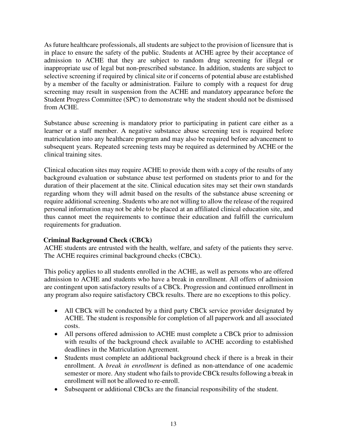As future healthcare professionals, all students are subject to the provision of licensure that is in place to ensure the safety of the public. Students at ACHE agree by their acceptance of admission to ACHE that they are subject to random drug screening for illegal or inappropriate use of legal but non-prescribed substance. In addition, students are subject to selective screening if required by clinical site or if concerns of potential abuse are established by a member of the faculty or administration. Failure to comply with a request for drug screening may result in suspension from the ACHE and mandatory appearance before the Student Progress Committee (SPC) to demonstrate why the student should not be dismissed from ACHE.

Substance abuse screening is mandatory prior to participating in patient care either as a learner or a staff member. A negative substance abuse screening test is required before matriculation into any healthcare program and may also be required before advancement to subsequent years. Repeated screening tests may be required as determined by ACHE or the clinical training sites.

Clinical education sites may require ACHE to provide them with a copy of the results of any background evaluation or substance abuse test performed on students prior to and for the duration of their placement at the site. Clinical education sites may set their own standards regarding whom they will admit based on the results of the substance abuse screening or require additional screening. Students who are not willing to allow the release of the required personal information may not be able to be placed at an affiliated clinical education site, and thus cannot meet the requirements to continue their education and fulfill the curriculum requirements for graduation.

#### <span id="page-12-0"></span>**Criminal Background Check (CBCk)**

ACHE students are entrusted with the health, welfare, and safety of the patients they serve. The ACHE requires criminal background checks (CBCk).

This policy applies to all students enrolled in the ACHE, as well as persons who are offered admission to ACHE and students who have a break in enrollment. All offers of admission are contingent upon satisfactory results of a CBCk. Progression and continued enrollment in any program also require satisfactory CBCk results. There are no exceptions to this policy.

- All CBCk will be conducted by a third party CBCk service provider designated by ACHE. The student is responsible for completion of all paperwork and all associated costs.
- All persons offered admission to ACHE must complete a CBCk prior to admission with results of the background check available to ACHE according to established deadlines in the Matriculation Agreement.
- Students must complete an additional background check if there is a break in their enrollment. A *break in enrollment* is defined as non-attendance of one academic semester or more. Any student who fails to provide CBCk results following a break in enrollment will not be allowed to re-enroll.
- Subsequent or additional CBCks are the financial responsibility of the student.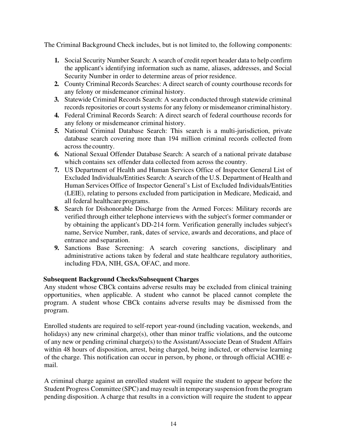The Criminal Background Check includes, but is not limited to, the following components:

- **1.** Social Security Number Search: A search of credit report header data to help confirm the applicant's identifying information such as name, aliases, addresses, and Social Security Number in order to determine areas of prior residence.
- **2.** County Criminal Records Searches: A direct search of county courthouse records for any felony or misdemeanor criminal history.
- **3.** Statewide Criminal Records Search: A search conducted through statewide criminal records repositories or court systems for any felony or misdemeanor criminal history.
- **4.** Federal Criminal Records Search: A direct search of federal courthouse records for any felony or misdemeanor criminal history.
- **5.** National Criminal Database Search: This search is a multi-jurisdiction, private database search covering more than 194 million criminal records collected from across the country.
- **6.** National Sexual Offender Database Search: A search of a national private database which contains sex offender data collected from across the country.
- **7.** US Department of Health and Human Services Office of Inspector General List of Excluded Individuals/Entities Search: A search of the U.S. Department of Health and Human Services Office of Inspector General's List of Excluded Individuals/Entities (LEIE), relating to persons excluded from participation in Medicare, Medicaid, and all federal healthcare programs.
- **8.** Search for Dishonorable Discharge from the Armed Forces: Military records are verified through either telephone interviews with the subject's former commander or by obtaining the applicant's DD-214 form. Verification generally includes subject's name, Service Number, rank, dates of service, awards and decorations, and place of entrance and separation.
- **9.** Sanctions Base Screening: A search covering sanctions, disciplinary and administrative actions taken by federal and state healthcare regulatory authorities, including FDA, NIH, GSA, OFAC, and more.

#### <span id="page-13-0"></span>**Subsequent Background Checks/Subsequent Charges**

Any student whose CBCk contains adverse results may be excluded from clinical training opportunities, when applicable. A student who cannot be placed cannot complete the program. A student whose CBCk contains adverse results may be dismissed from the program.

Enrolled students are required to self-report year-round (including vacation, weekends, and holidays) any new criminal charge(s), other than minor traffic violations, and the outcome of any new or pending criminal charge(s) to the Assistant/Associate Dean of Student Affairs within 48 hours of disposition, arrest, being charged, being indicted, or otherwise learning of the charge. This notification can occur in person, by phone, or through official ACHE email.

A criminal charge against an enrolled student will require the student to appear before the Student Progress Committee (SPC) and may result in temporary suspension from the program pending disposition. A charge that results in a conviction will require the student to appear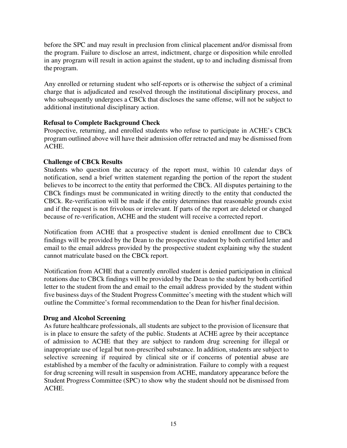before the SPC and may result in preclusion from clinical placement and/or dismissal from the program. Failure to disclose an arrest, indictment, charge or disposition while enrolled in any program will result in action against the student, up to and including dismissal from the program.

Any enrolled or returning student who self-reports or is otherwise the subject of a criminal charge that is adjudicated and resolved through the institutional disciplinary process, and who subsequently undergoes a CBCk that discloses the same offense, will not be subject to additional institutional disciplinary action.

#### <span id="page-14-0"></span>**Refusal to Complete Background Check**

Prospective, returning, and enrolled students who refuse to participate in ACHE's CBCk program outlined above will have their admission offer retracted and may be dismissed from ACHE.

#### <span id="page-14-1"></span>**Challenge of CBCk Results**

Students who question the accuracy of the report must, within 10 calendar days of notification, send a brief written statement regarding the portion of the report the student believes to be incorrect to the entity that performed the CBCk. All disputes pertaining to the CBCk findings must be communicated in writing directly to the entity that conducted the CBCk. Re-verification will be made if the entity determines that reasonable grounds exist and if the request is not frivolous or irrelevant. If parts of the report are deleted or changed because of re-verification, ACHE and the student will receive a corrected report.

Notification from ACHE that a prospective student is denied enrollment due to CBCk findings will be provided by the Dean to the prospective student by both certified letter and email to the email address provided by the prospective student explaining why the student cannot matriculate based on the CBCk report.

Notification from ACHE that a currently enrolled student is denied participation in clinical rotations due to CBCk findings will be provided by the Dean to the student by both certified letter to the student from the and email to the email address provided by the student within five business days of the Student Progress Committee's meeting with the student which will outline the Committee's formal recommendation to the Dean for his/her final decision.

#### <span id="page-14-2"></span>**Drug and Alcohol Screening**

As future healthcare professionals, all students are subject to the provision of licensure that is in place to ensure the safety of the public. Students at ACHE agree by their acceptance of admission to ACHE that they are subject to random drug screening for illegal or inappropriate use of legal but non-prescribed substance. In addition, students are subject to selective screening if required by clinical site or if concerns of potential abuse are established by a member of the faculty or administration. Failure to comply with a request for drug screening will result in suspension from ACHE, mandatory appearance before the Student Progress Committee (SPC) to show why the student should not be dismissed from ACHE.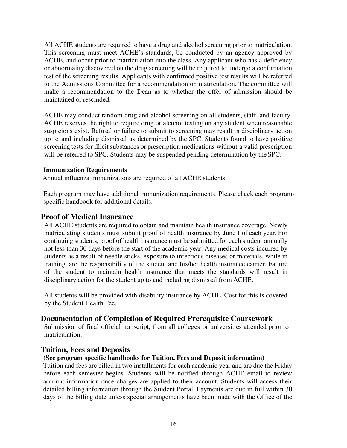All ACHE students are required to have a drug and alcohol screening prior to matriculation. This screening must meet ACHE's standards, be conducted by an agency approved by ACHE, and occur prior to matriculation into the class. Any applicant who has a deficiency or abnormality discovered on the drug screening will be required to undergo a confirmation test of the screening results. Applicants with confirmed positive test results will be referred to the Admissions Committee for a recommendation on matriculation. The committee will make a recommendation to the Dean as to whether the offer of admission should be maintained or rescinded.

ACHE may conduct random drug and alcohol screening on all students, staff, and faculty. ACHE reserves the right to require drug or alcohol testing on any student when reasonable suspicions exist. Refusal or failure to submit to screening may result in disciplinary action up to and including dismissal as determined by the SPC. Students found to have positive screening tests for illicit substances or prescription medications without a valid prescription will be referred to SPC. Students may be suspended pending determination by the SPC.

#### <span id="page-15-0"></span>**Immunization Requirements**

Annual influenza immunizations are required of all ACHE students.

Each program may have additional immunization requirements. Please check each programspecific handbook for additional details.

#### <span id="page-15-1"></span>**Proof of Medical Insurance**

All ACHE students are required to obtain and maintain health insurance coverage. Newly matriculating students must submit proof of health insurance by June 1 of each year. For continuing students, proof of health insurance must be submitted for each student annually not less than 30 days before the start of the academic year. Any medical costs incurred by students as a result of needle sticks, exposure to infectious diseases or materials, while in training, are the responsibility of the student and his/her health insurance carrier. Failure of the student to maintain health insurance that meets the standards will result in disciplinary action for the student up to and including dismissal from ACHE.

All students will be provided with disability insurance by ACHE. Cost for this is covered by the Student Health Fee.

#### <span id="page-15-2"></span>**Documentation of Completion of Required Prerequisite Coursework**

Submission of final official transcript, from all colleges or universities attended prior to matriculation.

#### <span id="page-15-3"></span>**Tuition, Fees and Deposits**

#### **(See program specific handbooks for Tuition, Fees and Deposit information)**

Tuition and fees are billed in two installments for each academic year and are due the Friday before each semester begins. Students will be notified through ACHE email to review account information once charges are applied to their account. Students will access their detailed billing information through the Student Portal. Payments are due in full within 30 days of the billing date unless special arrangements have been made with the Office of the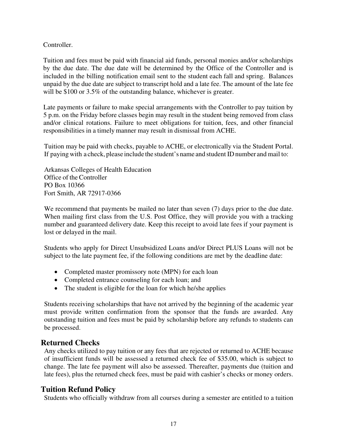Controller.

Tuition and fees must be paid with financial aid funds, personal monies and/or scholarships by the due date. The due date will be determined by the Office of the Controller and is included in the billing notification email sent to the student each fall and spring. Balances unpaid by the due date are subject to transcript hold and a late fee. The amount of the late fee will be \$100 or 3.5% of the outstanding balance, whichever is greater.

Late payments or failure to make special arrangements with the Controller to pay tuition by 5 p.m. on the Friday before classes begin may result in the student being removed from class and/or clinical rotations. Failure to meet obligations for tuition, fees, and other financial responsibilities in a timely manner may result in dismissal from ACHE.

Tuition may be paid with checks, payable to ACHE, or electronically via the Student Portal. If paying with a check, please include the student's name and student ID number and mail to:

Arkansas Colleges of Health Education Office of the Controller PO Box 10366 Fort Smith, AR 72917-0366

We recommend that payments be mailed no later than seven (7) days prior to the due date. When mailing first class from the U.S. Post Office, they will provide you with a tracking number and guaranteed delivery date. Keep this receipt to avoid late fees if your payment is lost or delayed in the mail.

Students who apply for Direct Unsubsidized Loans and/or Direct PLUS Loans will not be subject to the late payment fee, if the following conditions are met by the deadline date:

- Completed master promissory note (MPN) for each loan
- Completed entrance counseling for each loan; and
- The student is eligible for the loan for which he/she applies

Students receiving scholarships that have not arrived by the beginning of the academic year must provide written confirmation from the sponsor that the funds are awarded. Any outstanding tuition and fees must be paid by scholarship before any refunds to students can be processed.

#### <span id="page-16-0"></span>**Returned Checks**

Any checks utilized to pay tuition or any fees that are rejected or returned to ACHE because of insufficient funds will be assessed a returned check fee of \$35.00, which is subject to change. The late fee payment will also be assessed. Thereafter, payments due (tuition and late fees), plus the returned check fees, must be paid with cashier's checks or money orders.

#### <span id="page-16-1"></span>**Tuition Refund Policy**

Students who officially withdraw from all courses during a semester are entitled to a tuition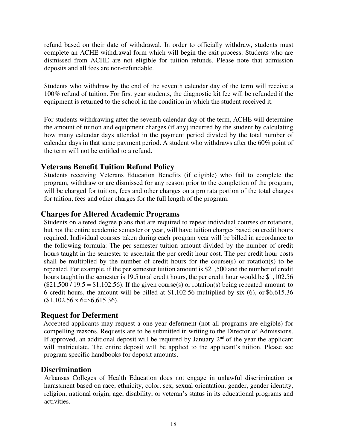refund based on their date of withdrawal. In order to officially withdraw, students must complete an ACHE withdrawal form which will begin the exit process. Students who are dismissed from ACHE are not eligible for tuition refunds. Please note that admission deposits and all fees are non-refundable.

Students who withdraw by the end of the seventh calendar day of the term will receive a 100% refund of tuition. For first year students, the diagnostic kit fee will be refunded if the equipment is returned to the school in the condition in which the student received it.

For students withdrawing after the seventh calendar day of the term, ACHE will determine the amount of tuition and equipment charges (if any) incurred by the student by calculating how many calendar days attended in the payment period divided by the total number of calendar days in that same payment period. A student who withdraws after the 60% point of the term will not be entitled to a refund.

#### <span id="page-17-0"></span>**Veterans Benefit Tuition Refund Policy**

Students receiving Veterans Education Benefits (if eligible) who fail to complete the program, withdraw or are dismissed for any reason prior to the completion of the program, will be charged for tuition, fees and other charges on a pro rata portion of the total charges for tuition, fees and other charges for the full length of the program.

#### <span id="page-17-1"></span>**Charges for Altered Academic Programs**

Students on altered degree plans that are required to repeat individual courses or rotations, but not the entire academic semester or year, will have tuition charges based on credit hours required. Individual courses taken during each program year will be billed in accordance to the following formula: The per semester tuition amount divided by the number of credit hours taught in the semester to ascertain the per credit hour cost. The per credit hour costs shall be multiplied by the number of credit hours for the course(s) or rotation(s) to be repeated. For example, if the per semester tuition amount is \$21,500 and the number of credit hours taught in the semester is 19.5 total credit hours, the per credit hour would be \$1,102.56  $(\$21,500 / 19.5 = \$1,102.56)$ . If the given course(s) or rotation(s) being repeated amount to 6 credit hours, the amount will be billed at \$1,102.56 multiplied by six (6), or \$6,615.36  $$1,102.56 \text{ x } 6 = $6,615.36$ .

#### <span id="page-17-2"></span>**Request for Deferment**

Accepted applicants may request a one-year deferment (not all programs are eligible) for compelling reasons. Requests are to be submitted in writing to the Director of Admissions. If approved, an additional deposit will be required by January  $2<sup>nd</sup>$  of the year the applicant will matriculate. The entire deposit will be applied to the applicant's tuition. Please see program specific handbooks for deposit amounts.

#### <span id="page-17-3"></span>**Discrimination**

Arkansas Colleges of Health Education does not engage in unlawful discrimination or harassment based on race, ethnicity, color, sex, sexual orientation, gender, gender identity, religion, national origin, age, disability, or veteran's status in its educational programs and activities.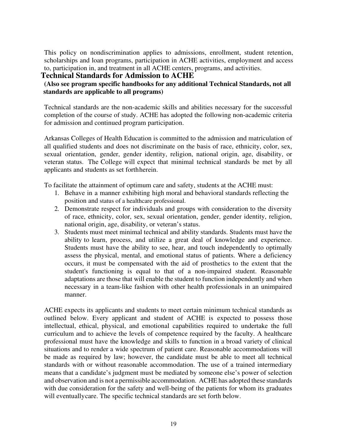This policy on nondiscrimination applies to admissions, enrollment, student retention, scholarships and loan programs, participation in ACHE activities, employment and access to, participation in, and treatment in all ACHE centers, programs, and activities.

#### <span id="page-18-0"></span>**Technical Standards for Admission to ACHE**

#### **(Also see program specific handbooks for any additional Technical Standards, not all standards are applicable to all programs)**

Technical standards are the non-academic skills and abilities necessary for the successful completion of the course of study. ACHE has adopted the following non-academic criteria for admission and continued program participation.

Arkansas Colleges of Health Education is committed to the admission and matriculation of all qualified students and does not discriminate on the basis of race, ethnicity, color, sex, sexual orientation, gender, gender identity, religion, national origin, age, disability, or veteran status. The College will expect that minimal technical standards be met by all applicants and students as set forth herein.

To facilitate the attainment of optimum care and safety, students at the ACHE must:

- 1. Behave in a manner exhibiting high moral and behavioral standards reflecting the position and status of a healthcare professional.
- 2. Demonstrate respect for individuals and groups with consideration to the diversity of race, ethnicity, color, sex, sexual orientation, gender, gender identity, religion, national origin, age, disability, or veteran's status.
- 3. Students must meet minimal technical and ability standards. Students must have the ability to learn, process, and utilize a great deal of knowledge and experience. Students must have the ability to see, hear, and touch independently to optimally assess the physical, mental, and emotional status of patients. Where a deficiency occurs, it must be compensated with the aid of prosthetics to the extent that the student's functioning is equal to that of a non-impaired student. Reasonable adaptations are those that will enable the student to function independently and when necessary in a team-like fashion with other health professionals in an unimpaired manner.

ACHE expects its applicants and students to meet certain minimum technical standards as outlined below. Every applicant and student of ACHE is expected to possess those intellectual, ethical, physical, and emotional capabilities required to undertake the full curriculum and to achieve the levels of competence required by the faculty. A healthcare professional must have the knowledge and skills to function in a broad variety of clinical situations and to render a wide spectrum of patient care. Reasonable accommodations will be made as required by law; however, the candidate must be able to meet all technical standards with or without reasonable accommodation. The use of a trained intermediary means that a candidate's judgment must be mediated by someone else's power of selection and observation and is not a permissible accommodation. ACHE has adopted these standards with due consideration for the safety and well-being of the patients for whom its graduates will eventuallycare. The specific technical standards are set forth below.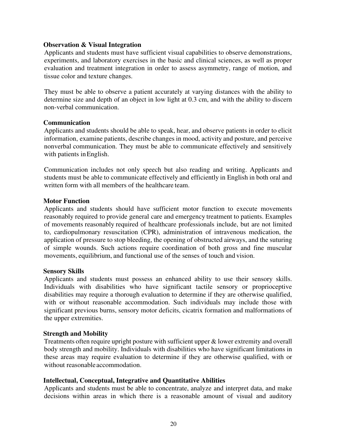#### <span id="page-19-0"></span>**Observation & Visual Integration**

Applicants and students must have sufficient visual capabilities to observe demonstrations, experiments, and laboratory exercises in the basic and clinical sciences, as well as proper evaluation and treatment integration in order to assess asymmetry, range of motion, and tissue color and texture changes.

They must be able to observe a patient accurately at varying distances with the ability to determine size and depth of an object in low light at 0.3 cm, and with the ability to discern non-verbal communication.

#### <span id="page-19-1"></span>**Communication**

Applicants and students should be able to speak, hear, and observe patients in order to elicit information, examine patients, describe changes in mood, activity and posture, and perceive nonverbal communication. They must be able to communicate effectively and sensitively with patients in English.

Communication includes not only speech but also reading and writing. Applicants and students must be able to communicate effectively and efficiently in English in both oral and written form with all members of the healthcare team.

#### <span id="page-19-2"></span>**Motor Function**

Applicants and students should have sufficient motor function to execute movements reasonably required to provide general care and emergency treatment to patients. Examples of movements reasonably required of healthcare professionals include, but are not limited to, cardiopulmonary resuscitation (CPR), administration of intravenous medication, the application of pressure to stop bleeding, the opening of obstructed airways, and the suturing of simple wounds. Such actions require coordination of both gross and fine muscular movements, equilibrium, and functional use of the senses of touch and vision.

#### <span id="page-19-3"></span>**Sensory Skills**

Applicants and students must possess an enhanced ability to use their sensory skills. Individuals with disabilities who have significant tactile sensory or proprioceptive disabilities may require a thorough evaluation to determine if they are otherwise qualified, with or without reasonable accommodation. Such individuals may include those with significant previous burns, sensory motor deficits, cicatrix formation and malformations of the upper extremities.

#### <span id="page-19-4"></span>**Strength and Mobility**

Treatments often require upright posture with sufficient upper & lower extremity and overall body strength and mobility. Individuals with disabilities who have significant limitations in these areas may require evaluation to determine if they are otherwise qualified, with or without reasonable accommodation.

#### <span id="page-19-5"></span>**Intellectual, Conceptual, Integrative and Quantitative Abilities**

Applicants and students must be able to concentrate, analyze and interpret data, and make decisions within areas in which there is a reasonable amount of visual and auditory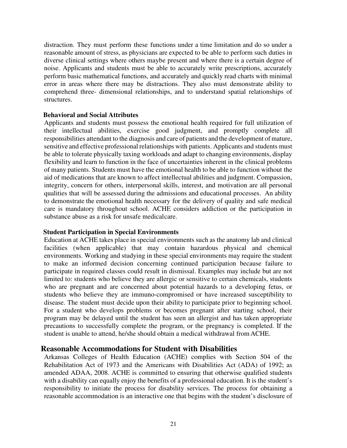distraction. They must perform these functions under a time limitation and do so under a reasonable amount of stress, as physicians are expected to be able to perform such duties in diverse clinical settings where others maybe present and where there is a certain degree of noise. Applicants and students must be able to accurately write prescriptions, accurately perform basic mathematical functions, and accurately and quickly read charts with minimal error in areas where there may be distractions. They also must demonstrate ability to comprehend three- dimensional relationships, and to understand spatial relationships of structures.

#### <span id="page-20-0"></span>**Behavioral and Social Attributes**

Applicants and students must possess the emotional health required for full utilization of their intellectual abilities, exercise good judgment, and promptly complete all responsibilities attendant to the diagnosis and care of patients and the development of mature, sensitive and effective professional relationships with patients. Applicants and students must be able to tolerate physically taxing workloads and adapt to changing environments, display flexibility and learn to function in the face of uncertainties inherent in the clinical problems of many patients. Students must have the emotional health to be able to function without the aid of medications that are known to affect intellectual abilities and judgment. Compassion, integrity, concern for others, interpersonal skills, interest, and motivation are all personal qualities that will be assessed during the admissions and educational processes. An ability to demonstrate the emotional health necessary for the delivery of quality and safe medical care is mandatory throughout school. ACHE considers addiction or the participation in substance abuse as a risk for unsafe medicalcare.

#### <span id="page-20-1"></span>**Student Participation in Special Environments**

Education at ACHE takes place in special environments such as the anatomy lab and clinical facilities (when applicable) that may contain hazardous physical and chemical environments. Working and studying in these special environments may require the student to make an informed decision concerning continued participation because failure to participate in required classes could result in dismissal. Examples may include but are not limited to: students who believe they are allergic or sensitive to certain chemicals, students who are pregnant and are concerned about potential hazards to a developing fetus, or students who believe they are immuno-compromised or have increased susceptibility to disease. The student must decide upon their ability to participate prior to beginning school. For a student who develops problems or becomes pregnant after starting school, their program may be delayed until the student has seen an allergist and has taken appropriate precautions to successfully complete the program, or the pregnancy is completed. If the student is unable to attend, he/she should obtain a medical withdrawal from ACHE.

#### <span id="page-20-2"></span>**Reasonable Accommodations for Student with Disabilities**

Arkansas Colleges of Health Education (ACHE) complies with Section 504 of the Rehabilitation Act of 1973 and the Americans with Disabilities Act (ADA) of 1992; as amended ADAA, 2008. ACHE is committed to ensuring that otherwise qualified students with a disability can equally enjoy the benefits of a professional education. It is the student's responsibility to initiate the process for disability services. The process for obtaining a reasonable accommodation is an interactive one that begins with the student's disclosure of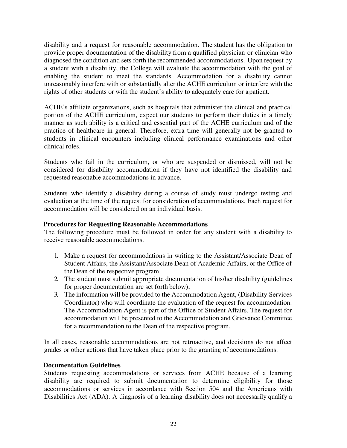disability and a request for reasonable accommodation. The student has the obligation to provide proper documentation of the disability from a qualified physician or clinician who diagnosed the condition and sets forth the recommended accommodations. Upon request by a student with a disability, the College will evaluate the accommodation with the goal of enabling the student to meet the standards. Accommodation for a disability cannot unreasonably interfere with or substantially alter the ACHE curriculum or interfere with the rights of other students or with the student's ability to adequately care for a patient.

ACHE's affiliate organizations, such as hospitals that administer the clinical and practical portion of the ACHE curriculum, expect our students to perform their duties in a timely manner as such ability is a critical and essential part of the ACHE curriculum and of the practice of healthcare in general. Therefore, extra time will generally not be granted to students in clinical encounters including clinical performance examinations and other clinical roles.

Students who fail in the curriculum, or who are suspended or dismissed, will not be considered for disability accommodation if they have not identified the disability and requested reasonable accommodations in advance.

Students who identify a disability during a course of study must undergo testing and evaluation at the time of the request for consideration of accommodations. Each request for accommodation will be considered on an individual basis.

#### <span id="page-21-0"></span>**Procedures for Requesting Reasonable Accommodations**

The following procedure must be followed in order for any student with a disability to receive reasonable accommodations.

- 1. Make a request for accommodations in writing to the Assistant/Associate Dean of Student Affairs, the Assistant/Associate Dean of Academic Affairs, or the Office of the Dean of the respective program.
- 2. The student must submit appropriate documentation of his/her disability (guidelines for proper documentation are set forth below);
- 3. The information will be provided to the Accommodation Agent, (Disability Services Coordinator) who will coordinate the evaluation of the request for accommodation. The Accommodation Agent is part of the Office of Student Affairs. The request for accommodation will be presented to the Accommodation and Grievance Committee for a recommendation to the Dean of the respective program.

In all cases, reasonable accommodations are not retroactive, and decisions do not affect grades or other actions that have taken place prior to the granting of accommodations.

#### <span id="page-21-1"></span>**Documentation Guidelines**

Students requesting accommodations or services from ACHE because of a learning disability are required to submit documentation to determine eligibility for those accommodations or services in accordance with Section 504 and the Americans with Disabilities Act (ADA). A diagnosis of a learning disability does not necessarily qualify a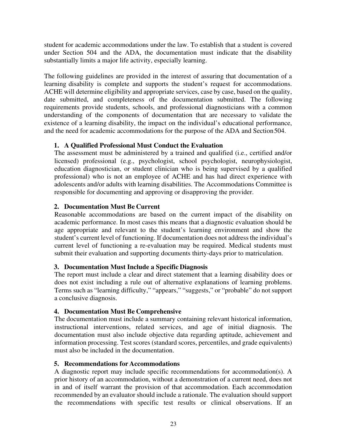student for academic accommodations under the law. To establish that a student is covered under Section 504 and the ADA, the documentation must indicate that the disability substantially limits a major life activity, especially learning.

The following guidelines are provided in the interest of assuring that documentation of a learning disability is complete and supports the student's request for accommodations. ACHE will determine eligibility and appropriate services, case by case, based on the quality, date submitted, and completeness of the documentation submitted. The following requirements provide students, schools, and professional diagnosticians with a common understanding of the components of documentation that are necessary to validate the existence of a learning disability, the impact on the individual's educational performance, and the need for academic accommodations for the purpose of the ADA and Section 504.

#### **1. A Qualified Professional Must Conduct the Evaluation**

The assessment must be administered by a trained and qualified (i.e., certified and/or licensed) professional (e.g., psychologist, school psychologist, neurophysiologist, education diagnostician, or student clinician who is being supervised by a qualified professional) who is not an employee of ACHE and has had direct experience with adolescents and/or adults with learning disabilities. The Accommodations Committee is responsible for documenting and approving or disapproving the provider.

#### **2. Documentation Must Be Current**

Reasonable accommodations are based on the current impact of the disability on academic performance. In most cases this means that a diagnostic evaluation should be age appropriate and relevant to the student's learning environment and show the student's current level of functioning. If documentation does not address the individual's current level of functioning a re-evaluation may be required. Medical students must submit their evaluation and supporting documents thirty-days prior to matriculation.

#### **3. Documentation Must Include a Specific Diagnosis**

The report must include a clear and direct statement that a learning disability does or does not exist including a rule out of alternative explanations of learning problems. Terms such as "learning difficulty," "appears," "suggests," or "probable" do not support a conclusive diagnosis.

#### **4. Documentation Must Be Comprehensive**

The documentation must include a summary containing relevant historical information, instructional interventions, related services, and age of initial diagnosis. The documentation must also include objective data regarding aptitude, achievement and information processing. Test scores (standard scores, percentiles, and grade equivalents) must also be included in the documentation.

#### **5. Recommendations for Accommodations**

A diagnostic report may include specific recommendations for accommodation(s). A prior history of an accommodation, without a demonstration of a current need, does not in and of itself warrant the provision of that accommodation. Each accommodation recommended by an evaluator should include a rationale. The evaluation should support the recommendations with specific test results or clinical observations. If an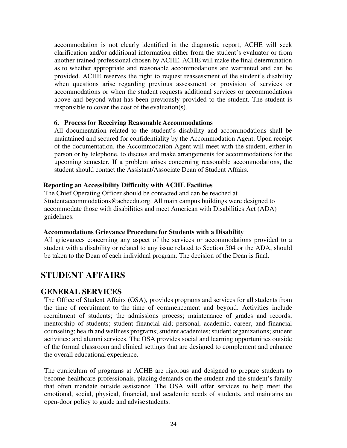accommodation is not clearly identified in the diagnostic report, ACHE will seek clarification and/or additional information either from the student's evaluator or from another trained professional chosen by ACHE. ACHE will make the final determination as to whether appropriate and reasonable accommodations are warranted and can be provided. ACHE reserves the right to request reassessment of the student's disability when questions arise regarding previous assessment or provision of services or accommodations or when the student requests additional services or accommodations above and beyond what has been previously provided to the student. The student is responsible to cover the cost of the evaluation(s).

#### **6. Process for Receiving Reasonable Accommodations**

All documentation related to the student's disability and accommodations shall be maintained and secured for confidentiality by the Accommodation Agent. Upon receipt of the documentation, the Accommodation Agent will meet with the student, either in person or by telephone, to discuss and make arrangements for accommodations for the upcoming semester. If a problem arises concerning reasonable accommodations, the student should contact the Assistant/Associate Dean of Student Affairs.

#### <span id="page-23-0"></span>**Reporting an Accessibility Difficulty with ACHE Facilities**

The Chief Operating Officer should be contacted and can be reached at [Studentaccommodations@acheedu.org.](mailto:Studentaccommodations@acheedu.org.) All main campus buildings were designed to accommodate those with disabilities and meet American with Disabilities Act (ADA) guidelines.

#### <span id="page-23-1"></span>**Accommodations Grievance Procedure for Students with a Disability**

All grievances concerning any aspect of the services or accommodations provided to a student with a disability or related to any issue related to Section 504 or the ADA, should be taken to the Dean of each individual program. The decision of the Dean is final.

### <span id="page-23-2"></span>**STUDENT AFFAIRS**

#### <span id="page-23-3"></span>**GENERAL SERVICES**

The Office of Student Affairs (OSA), provides programs and services for all students from the time of recruitment to the time of commencement and beyond. Activities include recruitment of students; the admissions process; maintenance of grades and records; mentorship of students; student financial aid; personal, academic, career, and financial counseling; health and wellness programs; student academies; student organizations; student activities; and alumni services. The OSA provides social and learning opportunities outside of the formal classroom and clinical settings that are designed to complement and enhance the overall educational experience.

The curriculum of programs at ACHE are rigorous and designed to prepare students to become healthcare professionals, placing demands on the student and the student's family that often mandate outside assistance. The OSA will offer services to help meet the emotional, social, physical, financial, and academic needs of students, and maintains an open-door policy to guide and advise students.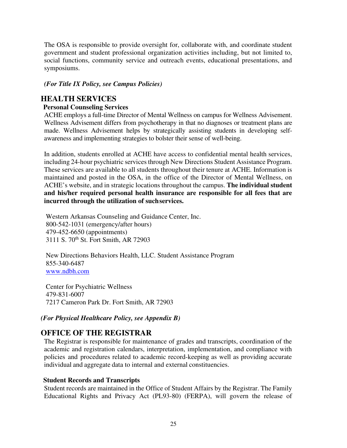The OSA is responsible to provide oversight for, collaborate with, and coordinate student government and student professional organization activities including, but not limited to, social functions, community service and outreach events, educational presentations, and symposiums.

#### *(For Title IX Policy, see Campus Policies)*

#### <span id="page-24-0"></span>**HEALTH SERVICES**

#### <span id="page-24-1"></span>**Personal Counseling Services**

ACHE employs a full-time Director of Mental Wellness on campus for Wellness Advisement. Wellness Advisement differs from psychotherapy in that no diagnoses or treatment plans are made. Wellness Advisement helps by strategically assisting students in developing selfawareness and implementing strategies to bolster their sense of well-being.

In addition, students enrolled at ACHE have access to confidential mental health services, including 24-hour psychiatric services through New Directions Student Assistance Program. These services are available to all students throughout their tenure at ACHE. Information is maintained and posted in the OSA, in the office of the Director of Mental Wellness, on ACHE's website, and in strategic locations throughout the campus. **The individual student and his/her required personal health insurance are responsible for all fees that are incurred through the utilization of suchservices.**

Western Arkansas Counseling and Guidance Center, Inc. 800-542-1031 (emergency/after hours) 479-452-6650 (appointments) 3111 S. 70th St. Fort Smith, AR 72903

New Directions Behaviors Health, LLC. Student Assistance Program 855-340-6487 [www.ndbh.com](http://www.ndbh.com/)

Center for Psychiatric Wellness 479-831-6007 7217 Cameron Park Dr. Fort Smith, AR 72903

#### *(For Physical Healthcare Policy, see Appendix B)*

#### <span id="page-24-2"></span>**OFFICE OF THE REGISTRAR**

The Registrar is responsible for maintenance of grades and transcripts, coordination of the academic and registration calendars, interpretation, implementation, and compliance with policies and procedures related to academic record-keeping as well as providing accurate individual and aggregate data to internal and external constituencies.

#### <span id="page-24-3"></span>**Student Records and Transcripts**

Student records are maintained in the Office of Student Affairs by the Registrar. The Family Educational Rights and Privacy Act (PL93-80) (FERPA), will govern the release of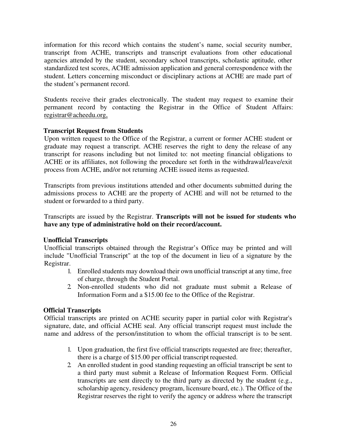information for this record which contains the student's name, social security number, transcript from ACHE, transcripts and transcript evaluations from other educational agencies attended by the student, secondary school transcripts, scholastic aptitude, other standardized test scores, ACHE admission application and general correspondence with the student. Letters concerning misconduct or disciplinary actions at ACHE are made part of the student's permanent record.

Students receive their grades electronically. The student may request to examine their permanent record by contacting the Registrar in the Office of Student Affairs: [registrar@acheedu.org,](mailto:registrar@acheedu.org,) 

#### <span id="page-25-0"></span>**Transcript Request from Students**

Upon written request to the Office of the Registrar, a current or former ACHE student or graduate may request a transcript. ACHE reserves the right to deny the release of any transcript for reasons including but not limited to: not meeting financial obligations to ACHE or its affiliates, not following the procedure set forth in the withdrawal/leave/exit process from ACHE, and/or not returning ACHE issued items as requested.

Transcripts from previous institutions attended and other documents submitted during the admissions process to ACHE are the property of ACHE and will not be returned to the student or forwarded to a third party.

Transcripts are issued by the Registrar. **Transcripts will not be issued for students who have any type of administrative hold on their record/account.**

#### <span id="page-25-1"></span>**Unofficial Transcripts**

Unofficial transcripts obtained through the Registrar's Office may be printed and will include "Unofficial Transcript" at the top of the document in lieu of a signature by the Registrar.

- 1. Enrolled students may download their own unofficial transcript at any time, free of charge, through the Student Portal.
- 2. Non-enrolled students who did not graduate must submit a Release of Information Form and a \$15.00 fee to the Office of the Registrar.

#### <span id="page-25-2"></span>**Official Transcripts**

Official transcripts are printed on ACHE security paper in partial color with Registrar's signature, date, and official ACHE seal. Any official transcript request must include the name and address of the person/institution to whom the official transcript is to be sent.

- 1. Upon graduation, the first five official transcripts requested are free; thereafter, there is a charge of \$15.00 per official transcript requested.
- 2. An enrolled student in good standing requesting an official transcript be sent to a third party must submit a Release of Information Request Form. Official transcripts are sent directly to the third party as directed by the student (e.g., scholarship agency, residency program, licensure board, etc.). The Office of the Registrar reserves the right to verify the agency or address where the transcript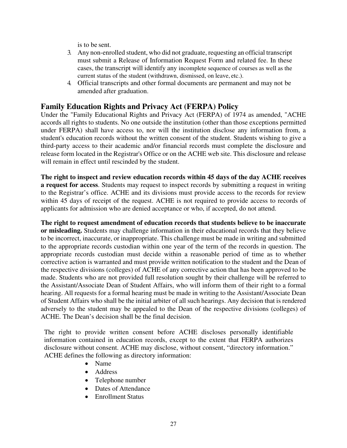is to be sent.

- 3. Any non-enrolled student, who did not graduate, requesting an official transcript must submit a Release of Information Request Form and related fee. In these cases, the transcript will identify any incomplete sequence of courses as well as the current status of the student (withdrawn, dismissed, on leave, etc.).
- 4. Official transcripts and other formal documents are permanent and may not be amended after graduation.

#### <span id="page-26-0"></span>**Family Education Rights and Privacy Act (FERPA) Policy**

Under the "Family Educational Rights and Privacy Act (FERPA) of 1974 as amended, "ACHE accords all rights to students. No one outside the institution (other than those exceptions permitted under FERPA) shall have access to, nor will the institution disclose any information from, a student's education records without the written consent of the student. Students wishing to give a third-party access to their academic and/or financial records must complete the disclosure and release form located in the Registrar's Office or on the ACHE web site. This disclosure and release will remain in effect until rescinded by the student.

**The right to inspect and review education records within 45 days of the day ACHE receives a request for access**. Students may request to inspect records by submitting a request in writing to the Registrar's office. ACHE and its divisions must provide access to the records for review within 45 days of receipt of the request. ACHE is not required to provide access to records of applicants for admission who are denied acceptance or who, if accepted, do not attend.

**The right to request amendment of education records that students believe to be inaccurate or misleading.** Students may challenge information in their educational records that they believe to be incorrect, inaccurate, or inappropriate. This challenge must be made in writing and submitted to the appropriate records custodian within one year of the term of the records in question. The appropriate records custodian must decide within a reasonable period of time as to whether corrective action is warranted and must provide written notification to the student and the Dean of the respective divisions (colleges) of ACHE of any corrective action that has been approved to be made. Students who are not provided full resolution sought by their challenge will be referred to the Assistant/Associate Dean of Student Affairs, who will inform them of their right to a formal hearing. All requests for a formal hearing must be made in writing to the Assistant/Associate Dean of Student Affairs who shall be the initial arbiter of all such hearings. Any decision that is rendered adversely to the student may be appealed to the Dean of the respective divisions (colleges) of ACHE. The Dean's decision shall be the final decision.

The right to provide written consent before ACHE discloses personally identifiable information contained in education records, except to the extent that FERPA authorizes disclosure without consent. ACHE may disclose, without consent, "directory information." ACHE defines the following as directory information:

- Name
- Address
- Telephone number
- Dates of Attendance
- Enrollment Status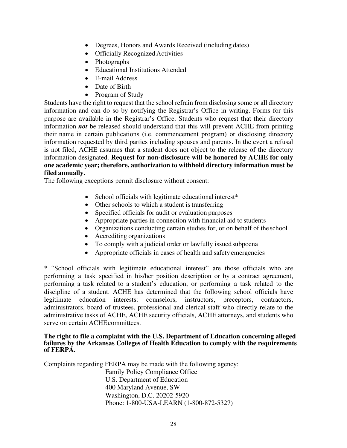- Degrees, Honors and Awards Received (including dates)
- Officially Recognized Activities
- Photographs
- Educational Institutions Attended
- E-mail Address
- Date of Birth
- Program of Study

Students have the right to request that the school refrain from disclosing some or all directory information and can do so by notifying the Registrar's Office in writing. Forms for this purpose are available in the Registrar's Office. Students who request that their directory information *not* be released should understand that this will prevent ACHE from printing their name in certain publications (i.e. commencement program) or disclosing directory information requested by third parties including spouses and parents. In the event a refusal is not filed, ACHE assumes that a student does not object to the release of the directory information designated. **Request for non-disclosure will be honored by ACHE for only one academic year; therefore, authorization to withhold directory information must be filed annually.** 

The following exceptions permit disclosure without consent:

- School officials with legitimate educational interest<sup>\*</sup>
- Other schools to which a student is transferring
- Specified officials for audit or evaluation purposes
- Appropriate parties in connection with financial aid to students
- Organizations conducting certain studies for, or on behalf of the school
- Accrediting organizations
- To comply with a judicial order or lawfully issued subpoena
- Appropriate officials in cases of health and safety emergencies

\* "School officials with legitimate educational interest" are those officials who are performing a task specified in his/her position description or by a contract agreement, performing a task related to a student's education, or performing a task related to the discipline of a student. ACHE has determined that the following school officials have legitimate education interests: counselors, instructors, preceptors, contractors, administrators, board of trustees, professional and clerical staff who directly relate to the administrative tasks of ACHE, ACHE security officials, ACHE attorneys, and students who serve on certain ACHEcommittees.

#### **The right to file a complaint with the U.S. Department of Education concerning alleged failures by the Arkansas Colleges of Health Education to comply with the requirements of FERPA.**

Complaints regarding FERPA may be made with the following agency: Family Policy Compliance Office U.S. Department of Education 400 Maryland Avenue, SW Washington, D.C. 20202-5920 Phone: 1-800-USA-LEARN (1-800-872-5327)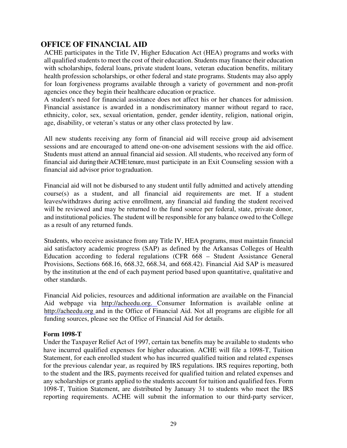#### <span id="page-28-0"></span>**OFFICE OF FINANCIAL AID**

ACHE participates in the Title IV, Higher Education Act (HEA) programs and works with all qualified students to meet the cost of their education. Students may finance their education with scholarships, federal loans, private student loans, veteran education benefits, military health profession scholarships, or other federal and state programs. Students may also apply for loan forgiveness programs available through a variety of government and non-profit agencies once they begin their healthcare education or practice.

A student's need for financial assistance does not affect his or her chances for admission. Financial assistance is awarded in a nondiscriminatory manner without regard to race, ethnicity, color, sex, sexual orientation, gender, gender identity, religion, national origin, age, disability, or veteran's status or any other class protected by law.

All new students receiving any form of financial aid will receive group aid advisement sessions and are encouraged to attend one-on-one advisement sessions with the aid office. Students must attend an annual financial aid session. All students, who received any form of financial aid during their ACHE tenure, must participate in an Exit Counseling session with a financial aid advisor prior to graduation.

Financial aid will not be disbursed to any student until fully admitted and actively attending  $course(s)$  as a student, and all financial aid requirements are met. If a student leaves/withdraws during active enrollment, any financial aid funding the student received will be reviewed and may be returned to the fund source per federal, state, private donor, and institutional policies. The student will be responsible for any balance owed to the College as a result of any returned funds.

Students, who receive assistance from any Title IV, HEA programs, must maintain financial aid satisfactory academic progress (SAP) as defined by the Arkansas Colleges of Health Education according to federal regulations (CFR 668 – Student Assistance General Provisions, Sections 668.16, 668.32, 668.34, and 668.42). Financial Aid SAP is measured by the institution at the end of each payment period based upon quantitative, qualitative and other standards.

Financial Aid policies, resources and additional information are available on the Financial Aid webpage via [http://acheedu.org. C](http://acheedu.org./)onsumer Information is available online at [http://acheedu.org and](http://acheedu.org/) in the Office of Financial Aid. Not all programs are eligible for all funding sources, please see the Office of Financial Aid for details.

#### <span id="page-28-1"></span>**Form 1098-T**

Under the Taxpayer Relief Act of 1997, certain tax benefits may be available to students who have incurred qualified expenses for higher education. ACHE will file a 1098-T, Tuition Statement, for each enrolled student who has incurred qualified tuition and related expenses for the previous calendar year, as required by IRS regulations. IRS requires reporting, both to the student and the IRS, payments received for qualified tuition and related expenses and any scholarships or grants applied to the students account for tuition and qualified fees. Form 1098-T, Tuition Statement, are distributed by January 31 to students who meet the IRS reporting requirements. ACHE will submit the information to our third-party servicer,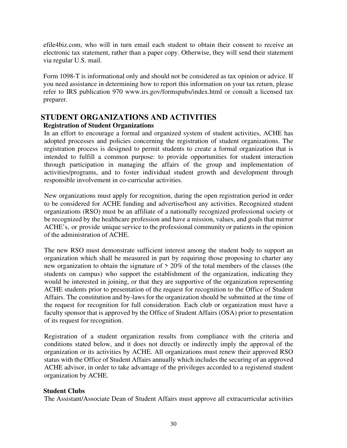efile4biz.com, who will in turn email each student to obtain their consent to receive an electronic tax statement, rather than a paper copy. Otherwise, they will send their statement via regular U.S. mail.

Form 1098-T is informational only and should not be considered as tax opinion or advice. If you need assistance in determining how to report this information on your tax return, please refer to IRS publication 970 [www.irs.gov/formspubs/index.html o](http://www.irs.gov/formspubs/index.html)r consult a licensed tax preparer.

#### <span id="page-29-0"></span>**STUDENT ORGANIZATIONS AND ACTIVITIES**

#### <span id="page-29-1"></span>**Registration of Student Organizations**

In an effort to encourage a formal and organized system of student activities, ACHE has adopted processes and policies concerning the registration of student organizations. The registration process is designed to permit students to create a formal organization that is intended to fulfill a common purpose: to provide opportunities for student interaction through participation in managing the affairs of the group and implementation of activities/programs, and to foster individual student growth and development through responsible involvement in co-curricular activities.

New organizations must apply for recognition, during the open registration period in order to be considered for ACHE funding and advertise/host any activities. Recognized student organizations (RSO) must be an affiliate of a nationally recognized professional society or be recognized by the healthcare profession and have a mission, values, and goals that mirror ACHE's, or provide unique service to the professional community or patients in the opinion of the administration of ACHE.

The new RSO must demonstrate sufficient interest among the student body to support an organization which shall be measured in part by requiring those proposing to charter any new organization to obtain the signature of > 20% of the total members of the classes (the students on campus) who support the establishment of the organization, indicating they would be interested in joining, or that they are supportive of the organization representing ACHE students prior to presentation of the request for recognition to the Office of Student Affairs. The constitution and by-laws for the organization should be submitted at the time of the request for recognition for full consideration. Each club or organization must have a faculty sponsor that is approved by the Office of Student Affairs (OSA) prior to presentation of its request for recognition.

Registration of a student organization results from compliance with the criteria and conditions stated below, and it does not directly or indirectly imply the approval of the organization or its activities by ACHE. All organizations must renew their approved RSO status with the Office of Student Affairs annually which includes the securing of an approved ACHE advisor, in order to take advantage of the privileges accorded to a registered student organization by ACHE.

#### <span id="page-29-2"></span>**Student Clubs**

The Assistant/Associate Dean of Student Affairs must approve all extracurricular activities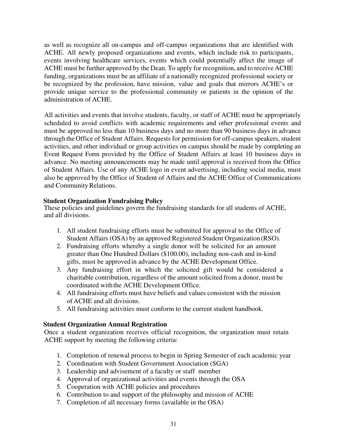as well as recognize all on-campus and off-campus organizations that are identified with ACHE. All newly proposed organizations and events, which include risk to participants, events involving healthcare services, events which could potentially affect the image of ACHE must be further approved by the Dean. To apply for recognition, and to receive ACHE funding, organizations must be an affiliate of a nationally recognized professional society or be recognized by the profession, have mission, value and goals that mirrors ACHE's or provide unique service to the professional community or patients in the opinion of the administration of ACHE.

All activities and events that involve students, faculty, or staff of ACHE must be appropriately scheduled to avoid conflicts with academic requirements and other professional events and must be approved no less than 10 business days and no more than 90 business days in advance through the Office of Student Affairs. Requests for permission for off-campus speakers, student activities, and other individual or group activities on campus should be made by completing an Event Request Form provided by the Office of Student Affairs at least 10 business days in advance. No meeting announcements may be made until approval is received from the Office of Student Affairs. Use of any ACHE logo in event advertising, including social media, must also be approved by the Office of Student of Affairs and the ACHE Office of Communications and Community Relations.

#### <span id="page-30-0"></span>**Student Organization Fundraising Policy**

These policies and guidelines govern the fundraising standards for all students of ACHE, and all divisions.

- 1. All student fundraising efforts must be submitted for approval to the Office of Student Affairs (OSA) by an approved Registered Student Organization (RSO).
- 2. Fundraising efforts whereby a single donor will be solicited for an amount greater than One Hundred Dollars (\$100.00), including non-cash and in-kind gifts, must be approved in advance by the ACHE Development Office.
- 3. Any fundraising effort in which the solicited gift would be considered a charitable contribution, regardless of the amount solicited from a donor, must be coordinated with the ACHE Development Office.
- 4. All fundraising efforts must have beliefs and values consistent with the mission of ACHE and all divisions.
- 5. All fundraising activities must conform to the current student handbook.

#### <span id="page-30-1"></span>**Student Organization Annual Registration**

Once a student organization receives official recognition, the organization must retain ACHE support by meeting the following criteria:

- 1. Completion of renewal process to begin in Spring Semester of each academic year
- 2. Coordination with Student Government Association (SGA)
- 3. Leadership and advisement of a faculty or staff member
- 4. Approval of organizational activities and events through the OSA
- 5. Cooperation with ACHE policies and procedures
- 6. Contribution to and support of the philosophy and mission of ACHE
- 7. Completion of all necessary forms (available in the OSA)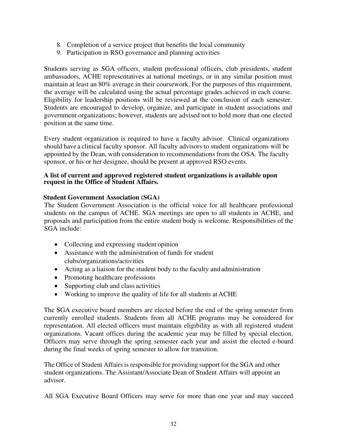- 8. Completion of a service project that benefits the local community
- 9. Participation in RSO governance and planning activities

Students serving as SGA officers, student professional officers, club presidents, student ambassadors, ACHE representatives at national meetings, or in any similar position must maintain at least an 80% average in their coursework. For the purposes of this requirement, the average will be calculated using the actual percentage grades achieved in each course. Eligibility for leadership positions will be reviewed at the conclusion of each semester. Students are encouraged to develop, organize, and participate in student associations and government organizations; however, students are advised not to hold more than one elected position at the same time.

Every student organization is required to have a faculty advisor. Clinical organizations should have a clinical faculty sponsor. All faculty advisors to student organizations will be appointed by the Dean, with consideration to recommendations from the OSA. The faculty sponsor, or his or her designee, should be present at approved RSO events.

#### **A list of current and approved registered student organizations is available upon request in the Office of Student Affairs.**

#### <span id="page-31-0"></span>**Student Government Association (SGA)**

The Student Government Association is the official voice for all healthcare professional students on the campus of ACHE. SGA meetings are open to all students in ACHE, and proposals and participation from the entire student body is welcome. Responsibilities of the SGA include:

- Collecting and expressing student opinion
- Assistance with the administration of funds for student clubs/organizations/activities
- Acting as a liaison for the student body to the faculty and administration
- Promoting healthcare professions
- Supporting club and class activities
- Working to improve the quality of life for all students at ACHE

The SGA executive board members are elected before the end of the spring semester from currently enrolled students. Students from all ACHE programs may be considered for representation. All elected officers must maintain eligibility as with all registered student organizations. Vacant offices during the academic year may be filled by special election. Officers may serve through the spring semester each year and assist the elected e-board during the final weeks of spring semester to allow for transition.

The Office of Student Affairs is responsible for providing support for the SGA and other student organizations. The Assistant/Associate Dean of Student Affairs will appoint an advisor.

All SGA Executive Board Officers may serve for more than one year and may succeed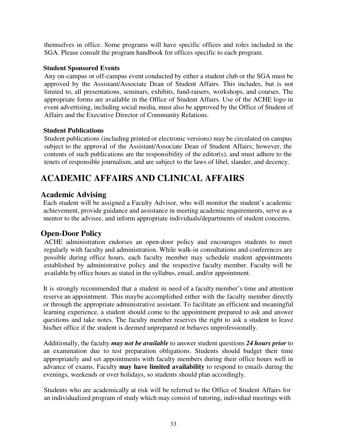themselves in office. Some programs will have specific offices and roles included in the SGA. Please consult the program handbook for offices specific to each program.

#### <span id="page-32-0"></span>**Student Sponsored Events**

Any on-campus or off-campus event conducted by either a student club or the SGA must be approved by the Assistant/Associate Dean of Student Affairs. This includes, but is not limited to, all presentations, seminars, exhibits, fund-raisers, workshops, and courses. The appropriate forms are available in the Office of Student Affairs. Use of the ACHE logo in event advertising, including social media, must also be approved by the Office of Student of Affairs and the Executive Director of Community Relations.

#### <span id="page-32-1"></span>**Student Publications**

Student publications (including printed or electronic versions) may be circulated on campus subject to the approval of the Assistant/Associate Dean of Student Affairs; however, the contents of such publications are the responsibility of the editor(s), and must adhere to the tenets of responsible journalism, and are subject to the laws of libel, slander, and decency.

### <span id="page-32-2"></span>**ACADEMIC AFFAIRS AND CLINICAL AFFAIRS**

#### <span id="page-32-3"></span>**Academic Advising**

Each student will be assigned a Faculty Advisor, who will monitor the student's academic achievement, provide guidance and assistance in meeting academic requirements, serve as a mentor to the advisee, and inform appropriate individuals/departments of student concerns.

#### <span id="page-32-4"></span>**Open-Door Policy**

ACHE administration endorses an open-door policy and encourages students to meet regularly with faculty and administration. While walk-in consultations and conferences are possible during office hours, each faculty member may schedule student appointments established by administrative policy and the respective faculty member. Faculty will be available by office hours as stated in the syllabus, email, and/or appointment.

It is strongly recommended that a student in need of a faculty member's time and attention reserve an appointment. This maybe accomplished either with the faculty member directly or through the appropriate administrative assistant. To facilitate an efficient and meaningful learning experience, a student should come to the appointment prepared to ask and answer questions and take notes. The faculty member reserves the right to ask a student to leave his/her office if the student is deemed unprepared or behaves unprofessionally.

Additionally, the faculty *may not be available* to answer student questions *24 hours prior* to an examination due to test preparation obligations. Students should budget their time appropriately and set appointments with faculty members during their office hours well in advance of exams. Faculty **may have limited availability** to respond to emails during the evenings, weekends or over holidays, so students should plan accordingly.

Students who are academically at risk will be referred to the Office of Student Affairs for an individualized program of study which may consist of tutoring, individual meetings with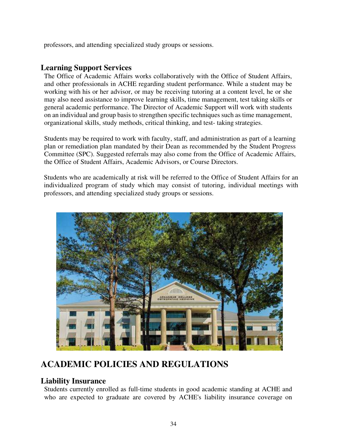professors, and attending specialized study groups or sessions.

#### <span id="page-33-0"></span>**Learning Support Services**

The Office of Academic Affairs works collaboratively with the Office of Student Affairs, and other professionals in ACHE regarding student performance. While a student may be working with his or her advisor, or may be receiving tutoring at a content level, he or she may also need assistance to improve learning skills, time management, test taking skills or general academic performance. The Director of Academic Support will work with students on an individual and group basis to strengthen specific techniques such as time management, organizational skills, study methods, critical thinking, and test- taking strategies.

Students may be required to work with faculty, staff, and administration as part of a learning plan or remediation plan mandated by their Dean as recommended by the Student Progress Committee (SPC). Suggested referrals may also come from the Office of Academic Affairs, the Office of Student Affairs, Academic Advisors, or Course Directors.

Students who are academically at risk will be referred to the Office of Student Affairs for an individualized program of study which may consist of tutoring, individual meetings with professors, and attending specialized study groups or sessions.



### <span id="page-33-1"></span>**ACADEMIC POLICIES AND REGULATIONS**

#### <span id="page-33-2"></span>**Liability Insurance**

Students currently enrolled as full-time students in good academic standing at ACHE and who are expected to graduate are covered by ACHE's liability insurance coverage on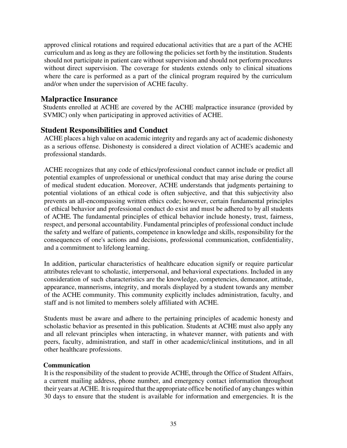approved clinical rotations and required educational activities that are a part of the ACHE curriculum and as long as they are following the policies set forth by the institution. Students should not participate in patient care without supervision and should not perform procedures without direct supervision. The coverage for students extends only to clinical situations where the care is performed as a part of the clinical program required by the curriculum and/or when under the supervision of ACHE faculty.

#### <span id="page-34-0"></span>**Malpractice Insurance**

Students enrolled at ACHE are covered by the ACHE malpractice insurance (provided by SVMIC) only when participating in approved activities of ACHE.

#### <span id="page-34-1"></span>**Student Responsibilities and Conduct**

ACHE places a high value on academic integrity and regards any act of academic dishonesty as a serious offense. Dishonesty is considered a direct violation of ACHE's academic and professional standards.

ACHE recognizes that any code of ethics/professional conduct cannot include or predict all potential examples of unprofessional or unethical conduct that may arise during the course of medical student education. Moreover, ACHE understands that judgments pertaining to potential violations of an ethical code is often subjective, and that this subjectivity also prevents an all-encompassing written ethics code; however, certain fundamental principles of ethical behavior and professional conduct do exist and must be adhered to by all students of ACHE. The fundamental principles of ethical behavior include honesty, trust, fairness, respect, and personal accountability. Fundamental principles of professional conduct include the safety and welfare of patients, competence in knowledge and skills, responsibility for the consequences of one's actions and decisions, professional communication, confidentiality, and a commitment to lifelong learning.

In addition, particular characteristics of healthcare education signify or require particular attributes relevant to scholastic, interpersonal, and behavioral expectations. Included in any consideration of such characteristics are the knowledge, competencies, demeanor, attitude, appearance, mannerisms, integrity, and morals displayed by a student towards any member of the ACHE community. This community explicitly includes administration, faculty, and staff and is not limited to members solely affiliated with ACHE.

Students must be aware and adhere to the pertaining principles of academic honesty and scholastic behavior as presented in this publication. Students at ACHE must also apply any and all relevant principles when interacting, in whatever manner, with patients and with peers, faculty, administration, and staff in other academic/clinical institutions, and in all other healthcare professions.

#### <span id="page-34-2"></span>**Communication**

It is the responsibility of the student to provide ACHE, through the Office of Student Affairs, a current mailing address, phone number, and emergency contact information throughout their years at ACHE. It is required that the appropriate office be notified of any changes within 30 days to ensure that the student is available for information and emergencies. It is the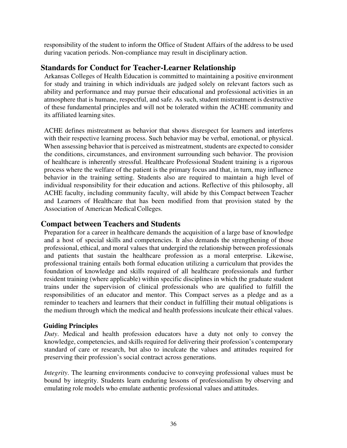responsibility of the student to inform the Office of Student Affairs of the address to be used during vacation periods. Non-compliance may result in disciplinary action.

#### <span id="page-35-0"></span>**Standards for Conduct for Teacher-Learner Relationship**

Arkansas Colleges of Health Education is committed to maintaining a positive environment for study and training in which individuals are judged solely on relevant factors such as ability and performance and may pursue their educational and professional activities in an atmosphere that is humane, respectful, and safe. As such, student mistreatment is destructive of these fundamental principles and will not be tolerated within the ACHE community and its affiliated learning sites.

ACHE defines mistreatment as behavior that shows disrespect for learners and interferes with their respective learning process. Such behavior may be verbal, emotional, or physical. When assessing behavior that is perceived as mistreatment, students are expected to consider the conditions, circumstances, and environment surrounding such behavior. The provision of healthcare is inherently stressful. Healthcare Professional Student training is a rigorous process where the welfare of the patient is the primary focus and that, in turn, may influence behavior in the training setting. Students also are required to maintain a high level of individual responsibility for their education and actions. Reflective of this philosophy, all ACHE faculty, including community faculty, will abide by this Compact between Teacher and Learners of Healthcare that has been modified from that provision stated by the Association of American Medical Colleges.

#### <span id="page-35-1"></span>**Compact between Teachers and Students**

Preparation for a career in healthcare demands the acquisition of a large base of knowledge and a host of special skills and competencies. It also demands the strengthening of those professional, ethical, and moral values that undergird the relationship between professionals and patients that sustain the healthcare profession as a moral enterprise. Likewise, professional training entails both formal education utilizing a curriculum that provides the foundation of knowledge and skills required of all healthcare professionals and further resident training (where applicable) within specific disciplines in which the graduate student trains under the supervision of clinical professionals who are qualified to fulfill the responsibilities of an educator and mentor. This Compact serves as a pledge and as a reminder to teachers and learners that their conduct in fulfilling their mutual obligations is the medium through which the medical and health professions inculcate their ethical values.

#### <span id="page-35-2"></span>**Guiding Principles**

*Duty*. Medical and health profession educators have a duty not only to convey the knowledge, competencies, and skills required for delivering their profession's contemporary standard of care or research, but also to inculcate the values and attitudes required for preserving their profession's social contract across generations.

*Integrity*. The learning environments conducive to conveying professional values must be bound by integrity. Students learn enduring lessons of professionalism by observing and emulating role models who emulate authentic professional values and attitudes.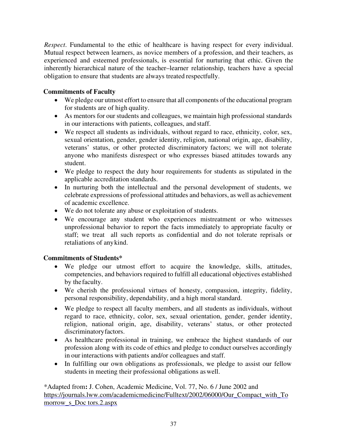*Respect*. Fundamental to the ethic of healthcare is having respect for every individual. Mutual respect between learners, as novice members of a profession, and their teachers, as experienced and esteemed professionals, is essential for nurturing that ethic. Given the inherently hierarchical nature of the teacher–learner relationship, teachers have a special obligation to ensure that students are always treated respectfully.

## **Commitments of Faculty**

- We pledge our utmost effort to ensure that all components of the educational program for students are of high quality.
- As mentors for our students and colleagues, we maintain high professional standards in our interactions with patients, colleagues, and staff.
- We respect all students as individuals, without regard to race, ethnicity, color, sex, sexual orientation, gender, gender identity, religion, national origin, age, disability, veterans' status, or other protected discriminatory factors; we will not tolerate anyone who manifests disrespect or who expresses biased attitudes towards any student.
- We pledge to respect the duty hour requirements for students as stipulated in the applicable accreditation standards.
- In nurturing both the intellectual and the personal development of students, we celebrate expressions of professional attitudes and behaviors, as well as achievement of academic excellence.
- We do not tolerate any abuse or exploitation of students.
- We encourage any student who experiences mistreatment or who witnesses unprofessional behavior to report the facts immediately to appropriate faculty or staff; we treat all such reports as confidential and do not tolerate reprisals or retaliations of any kind.

## **Commitments of Students\***

- We pledge our utmost effort to acquire the knowledge, skills, attitudes, competencies, and behaviors required to fulfill all educational objectives established by the faculty.
- We cherish the professional virtues of honesty, compassion, integrity, fidelity, personal responsibility, dependability, and a high moral standard.
- We pledge to respect all faculty members, and all students as individuals, without regard to race, ethnicity, color, sex, sexual orientation, gender, gender identity, religion, national origin, age, disability, veterans' status, or other protected discriminatoryfactors.
- As healthcare professional in training, we embrace the highest standards of our profession along with its code of ethics and pledge to conduct ourselves accordingly in our interactions with patients and/or colleagues and staff.
- In fulfilling our own obligations as professionals, we pledge to assist our fellow students in meeting their professional obligations as well.

\*Adapted from**:** J. Cohen, Academic Medicine, Vol. 77, No. 6 / June 2002 and https://journals.lww.com/academicmedicine/Fulltext/2002/06000/Our\_Compact\_with\_To morrow\_s\_Doc tors.2.aspx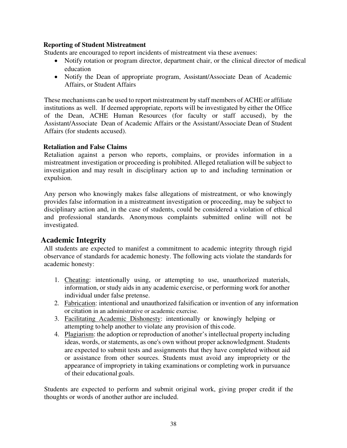#### **Reporting of Student Mistreatment**

Students are encouraged to report incidents of mistreatment via these avenues:

- Notify rotation or program director, department chair, or the clinical director of medical education
- Notify the Dean of appropriate program, Assistant/Associate Dean of Academic Affairs, or Student Affairs

These mechanisms can be used to report mistreatment by staff members of ACHE or affiliate institutions as well. If deemed appropriate, reports will be investigated by either the Office of the Dean, ACHE Human Resources (for faculty or staff accused), by the Assistant/Associate Dean of Academic Affairs or the Assistant/Associate Dean of Student Affairs (for students accused).

#### **Retaliation and False Claims**

Retaliation against a person who reports, complains, or provides information in a mistreatment investigation or proceeding is prohibited. Alleged retaliation will be subject to investigation and may result in disciplinary action up to and including termination or expulsion.

Any person who knowingly makes false allegations of mistreatment, or who knowingly provides false information in a mistreatment investigation or proceeding, may be subject to disciplinary action and, in the case of students, could be considered a violation of ethical and professional standards. Anonymous complaints submitted online will not be investigated.

# **Academic Integrity**

All students are expected to manifest a commitment to academic integrity through rigid observance of standards for academic honesty. The following acts violate the standards for academic honesty:

- 1. Cheating: intentionally using, or attempting to use, unauthorized materials, information, or study aids in any academic exercise, or performing work for another individual under false pretense.
- 2. Fabrication: intentional and unauthorized falsification or invention of any information or citation in an administrative or academic exercise.
- 3. Facilitating Academic Dishonesty: intentionally or knowingly helping or attempting to help another to violate any provision of this code.
- 4. Plagiarism: the adoption or reproduction of another's intellectual property including ideas, words, or statements, as one's own without proper acknowledgment. Students are expected to submit tests and assignments that they have completed without aid or assistance from other sources. Students must avoid any impropriety or the appearance of impropriety in taking examinations or completing work in pursuance of their educational goals.

Students are expected to perform and submit original work, giving proper credit if the thoughts or words of another author are included.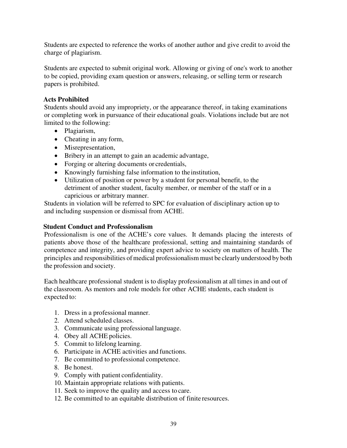Students are expected to reference the works of another author and give credit to avoid the charge of plagiarism.

Students are expected to submit original work. Allowing or giving of one's work to another to be copied, providing exam question or answers, releasing, or selling term or research papers is prohibited.

#### **Acts Prohibited**

Students should avoid any impropriety, or the appearance thereof, in taking examinations or completing work in pursuance of their educational goals. Violations include but are not limited to the following:

- Plagiarism,
- Cheating in any form,
- Misrepresentation,
- Bribery in an attempt to gain an academic advantage,
- Forging or altering documents or credentials,
- Knowingly furnishing false information to the institution,
- Utilization of position or power by a student for personal benefit, to the detriment of another student, faculty member, or member of the staff or in a capricious or arbitrary manner.

Students in violation will be referred to SPC for evaluation of disciplinary action up to and including suspension or dismissal from ACHE.

#### **Student Conduct and Professionalism**

Professionalism is one of the ACHE's core values. It demands placing the interests of patients above those of the healthcare professional, setting and maintaining standards of competence and integrity, and providing expert advice to society on matters of health. The principles and responsibilities of medical professionalism must be clearly understood by both the profession and society.

Each healthcare professional student is to display professionalism at all times in and out of the classroom. As mentors and role models for other ACHE students, each student is expected to:

- 1. Dress in a professional manner.
- 2. Attend scheduled classes.
- 3. Communicate using professional language.
- 4. Obey all ACHE policies.
- 5. Commit to lifelong learning.
- 6. Participate in ACHE activities and functions.
- 7. Be committed to professional competence.
- 8. Be honest.
- 9. Comply with patient confidentiality.
- 10. Maintain appropriate relations with patients.
- 11. Seek to improve the quality and access to care.
- 12. Be committed to an equitable distribution of finite resources.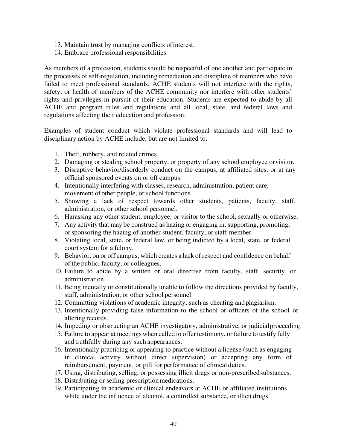- 13. Maintain trust by managing conflicts of interest.
- 14. Embrace professional responsibilities.

As members of a profession, students should be respectful of one another and participate in the processes of self-regulation, including remediation and discipline of members who have failed to meet professional standards. ACHE students will not interfere with the rights, safety, or health of members of the ACHE community nor interfere with other students' rights and privileges in pursuit of their education. Students are expected to abide by all ACHE and program rules and regulations and all local, state, and federal laws and regulations affecting their education and profession.

Examples of student conduct which violate professional standards and will lead to disciplinary action by ACHE include, but are not limited to:

- 1. Theft, robbery, and related crimes.
- 2. Damaging or stealing school property, or property of any school employee or visitor.
- 3. Disruptive behavior/disorderly conduct on the campus, at affiliated sites, or at any official sponsored events on or off campus.
- 4. Intentionally interfering with classes, research, administration, patient care, movement of other people, or school functions.
- 5. Showing a lack of respect towards other students, patients, faculty, staff, administration, or other school personnel.
- 6. Harassing any other student, employee, or visitor to the school, sexually or otherwise.
- 7. Any activity that may be construed as hazing or engaging in, supporting, promoting, or sponsoring the hazing of another student, faculty, or staff member.
- 8. Violating local, state, or federal law, or being indicted by a local, state, or federal court system for a felony.
- 9. Behavior, on or off campus, which creates a lack of respect and confidence on behalf of the public, faculty, or colleagues.
- 10. Failure to abide by a written or oral directive from faculty, staff, security, or administration.
- 11. Being mentally or constitutionally unable to follow the directions provided by faculty, staff, administration, or other school personnel.
- 12. Committing violations of academic integrity, such as cheating and plagiarism.
- 13. Intentionally providing false information to the school or officers of the school or altering records.
- 14. Impeding or obstructing an ACHE investigatory, administrative, or judicial proceeding.
- 15. Failure to appear at meetings when called to offer testimony, or failure to testify fully and truthfully during any such appearances.
- 16. Intentionally practicing or appearing to practice without a license (such as engaging in clinical activity without direct supervision) or accepting any form of reimbursement, payment, or gift for performance of clinical duties.
- 17. Using, distributing, selling, or possessing illicit drugs or non-prescribedsubstances.
- 18. Distributing or selling prescription medications.
- 19. Participating in academic or clinical endeavors at ACHE or affiliated institutions while under the influence of alcohol, a controlled substance, or illicit drugs.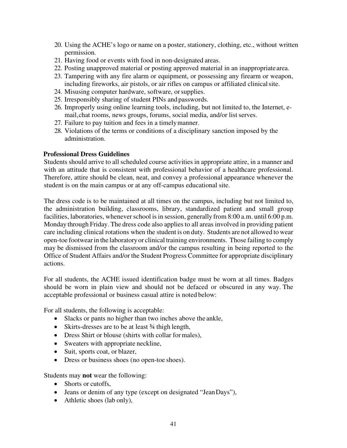- 20. Using the ACHE's logo or name on a poster, stationery, clothing, etc., without written permission.
- 21. Having food or events with food in non-designated areas.
- 22. Posting unapproved material or posting approved material in an inappropriate area.
- 23. Tampering with any fire alarm or equipment, or possessing any firearm or weapon, including fireworks, air pistols, or air rifles on campus or affiliated clinicalsite.
- 24. Misusing computer hardware, software, or supplies.
- 25. Irresponsibly sharing of student PINs and passwords.
- 26. Improperly using online learning tools, including, but not limited to, the Internet, email, chat rooms, news groups, forums, social media, and/or list serves.
- 27. Failure to pay tuition and fees in a timelymanner.
- 28. Violations of the terms or conditions of a disciplinary sanction imposed by the administration.

#### **Professional Dress Guidelines**

Students should arrive to all scheduled course activities in appropriate attire, in a manner and with an attitude that is consistent with professional behavior of a healthcare professional. Therefore, attire should be clean, neat, and convey a professional appearance whenever the student is on the main campus or at any off-campus educational site.

The dress code is to be maintained at all times on the campus, including but not limited to, the administration building, classrooms, library, standardized patient and small group facilities, laboratories, whenever school is in session, generally from 8:00 a.m. until 6:00 p.m. Monday through Friday. The dress code also applies to all areas involved in providing patient care including clinical rotations when the student is on duty. Students are not allowed to wear open-toe footwear in the laboratory or clinical training environments. Those failing to comply may be dismissed from the classroom and/or the campus resulting in being reported to the Office of Student Affairs and/or the Student Progress Committee for appropriate disciplinary actions.

For all students, the ACHE issued identification badge must be worn at all times. Badges should be worn in plain view and should not be defaced or obscured in any way. The acceptable professional or business casual attire is noted below:

For all students, the following is acceptable:

- Slacks or pants no higher than two inches above the ankle,
- Skirts-dresses are to be at least 3/4 thigh length,
- Dress Shirt or blouse (shirts with collar for males),
- Sweaters with appropriate neckline,
- Suit, sports coat, or blazer,
- Dress or business shoes (no open-toe shoes).

Students may **not** wear the following:

- Shorts or cutoffs.
- Jeans or denim of any type (except on designated "Jean Days"),
- Athletic shoes (lab only),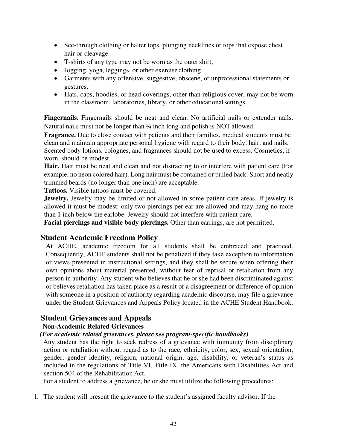- See-through clothing or halter tops, plunging necklines or tops that expose chest hair or cleavage.
- T-shirts of any type may not be worn as the outer shirt,
- Jogging, yoga, leggings, or other exercise clothing,
- Garments with any offensive, suggestive, obscene, or unprofessional statements or gestures,
- Hats, caps, hoodies, or head coverings, other than religious cover, may not be worn in the classroom, laboratories, library, or other educational settings.

**Fingernails.** Fingernails should be neat and clean. No artificial nails or extender nails. Natural nails must not be longer than ¼ inch long and polish is NOT allowed.

**Fragrance.** Due to close contact with patients and their families, medical students must be clean and maintain appropriate personal hygiene with regard to their body, hair, and nails. Scented body lotions, colognes, and fragrances should not be used to excess. Cosmetics, if worn, should be modest.

**Hair.** Hair must be neat and clean and not distracting to or interfere with patient care (For example, no neon colored hair). Long hair must be contained or pulled back. Short and neatly trimmed beards (no longer than one inch) are acceptable.

**Tattoos.** Visible tattoos must be covered.

**Jewelry.** Jewelry may be limited or not allowed in some patient care areas. If jewelry is allowed it must be modest: only two piercings per ear are allowed and may hang no more than 1 inch below the earlobe. Jewelry should not interfere with patient care.

**Facial piercings and visible body piercings.** Other than earrings, are not permitted.

# **Student Academic Freedom Policy**

At ACHE, academic freedom for all students shall be embraced and practiced. Consequently, ACHE students shall not be penalized if they take exception to information or views presented in instructional settings, and they shall be secure when offering their own opinions about material presented, without fear of reprisal or retaliation from any person in authority. Any student who believes that he or she had been discriminated against or believes retaliation has taken place as a result of a disagreement or difference of opinion with someone in a position of authority regarding academic discourse, may file a grievance under the Student Grievances and Appeals Policy located in the ACHE Student Handbook.

# **Student Grievances and Appeals**

# **Non-Academic Related Grievances**

# *(For academic related grievances, please see program-specific handbooks)*

Any student has the right to seek redress of a grievance with immunity from disciplinary action or retaliation without regard as to the race, ethnicity, color, sex, sexual orientation, gender, gender identity, religion, national origin, age, disability, or veteran's status as included in the regulations of Title VI, Title IX, the Americans with Disabilities Act and section 504 of the Rehabilitation Act.

For a student to address a grievance, he or she must utilize the following procedures:

1. The student will present the grievance to the student's assigned faculty advisor. If the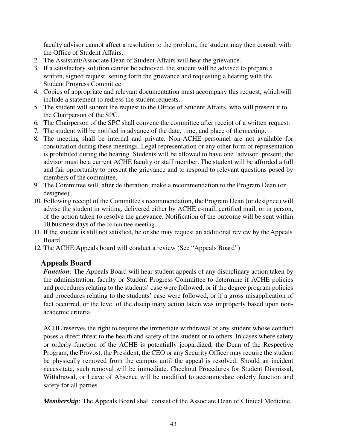faculty advisor cannot affect a resolution to the problem, the student may then consult with the Office of Student Affairs.

- 2. The Assistant/Associate Dean of Student Affairs will hear the grievance.
- 3. If a satisfactory solution cannot be achieved, the student will be advised to prepare a written, signed request, setting forth the grievance and requesting a hearing with the Student Progress Committee.
- 4. Copies of appropriate and relevant documentation must accompany this request, which will include a statement to redress the student requests.
- 5. The student will submit the request to the Office of Student Affairs, who will present it to the Chairperson of the SPC.
- 6. The Chairperson of the SPC shall convene the committee after receipt of a written request.
- 7. The student will be notified in advance of the date, time, and place of the meeting.
- 8. The meeting shall be internal and private. Non-ACHE personnel are not available for consultation during these meetings. Legal representation or any other form of representation is prohibited during the hearing. Students will be allowed to have one 'advisor' present; the advisor must be a current ACHE faculty or staff member. The student will be afforded a full and fair opportunity to present the grievance and to respond to relevant questions posed by members of the committee.
- 9. The Committee will, after deliberation, make a recommendation to the Program Dean (or designee).
- 10. Following receipt of the Committee's recommendation, the Program Dean (or designee) will advise the student in writing, delivered either by ACHE e-mail, certified mail, or in person, of the action taken to resolve the grievance. Notification of the outcome will be sent within 10 business days of the committee meeting.
- 11. If the student is still not satisfied, he or she may request an additional review by the Appeals Board.
- 12. The ACHE Appeals board will conduct a review (See "Appeals Board")

# **Appeals Board**

*Function:* The Appeals Board will hear student appeals of any disciplinary action taken by the administration, faculty or Student Progress Committee to determine if ACHE policies and procedures relating to the students' case were followed, or if the degree program policies and procedures relating to the students' case were followed, or if a gross misapplication of fact occurred, or the level of the disciplinary action taken was improperly based upon nonacademic criteria.

ACHE reserves the right to require the immediate withdrawal of any student whose conduct poses a direct threat to the health and safety of the student or to others. In cases where safety or orderly function of the ACHE is potentially jeopardized, the Dean of the Respective Program, the Provost, the President, the CEO or any Security Officer may require the student be physically removed from the campus until the appeal is resolved. Should an incident necessitate, such removal will be immediate. Checkout Procedures for Student Dismissal, Withdrawal, or Leave of Absence will be modified to accommodate orderly function and safety for all parties.

*Membership:* The Appeals Board shall consist of the Associate Dean of Clinical Medicine,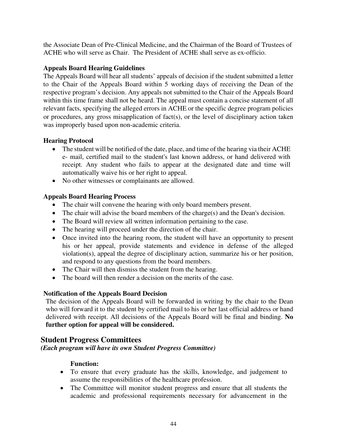the Associate Dean of Pre-Clinical Medicine, and the Chairman of the Board of Trustees of ACHE who will serve as Chair. The President of ACHE shall serve as ex-officio.

## **Appeals Board Hearing Guidelines**

The Appeals Board will hear all students' appeals of decision if the student submitted a letter to the Chair of the Appeals Board within 5 working days of receiving the Dean of the respective program's decision. Any appeals not submitted to the Chair of the Appeals Board within this time frame shall not be heard. The appeal must contain a concise statement of all relevant facts, specifying the alleged errors in ACHE or the specific degree program policies or procedures, any gross misapplication of fact(s), or the level of disciplinary action taken was improperly based upon non-academic criteria.

# **Hearing Protocol**

- The student will be notified of the date, place, and time of the hearing via their ACHE e- mail, certified mail to the student's last known address, or hand delivered with receipt. Any student who fails to appear at the designated date and time will automatically waive his or her right to appeal.
- No other witnesses or complainants are allowed.

# **Appeals Board Hearing Process**

- The chair will convene the hearing with only board members present.
- The chair will advise the board members of the charge(s) and the Dean's decision.
- The Board will review all written information pertaining to the case.
- The hearing will proceed under the direction of the chair.
- Once invited into the hearing room, the student will have an opportunity to present his or her appeal, provide statements and evidence in defense of the alleged violation(s), appeal the degree of disciplinary action, summarize his or her position, and respond to any questions from the board members.
- The Chair will then dismiss the student from the hearing.
- The board will then render a decision on the merits of the case.

# **Notification of the Appeals Board Decision**

The decision of the Appeals Board will be forwarded in writing by the chair to the Dean who will forward it to the student by certified mail to his or her last official address or hand delivered with receipt. All decisions of the Appeals Board will be final and binding. **No further option for appeal will be considered.**

# **Student Progress Committees**

*(Each program will have its own Student Progress Committee)* 

# **Function:**

- To ensure that every graduate has the skills, knowledge, and judgement to assume the responsibilities of the healthcare profession.
- The Committee will monitor student progress and ensure that all students the academic and professional requirements necessary for advancement in the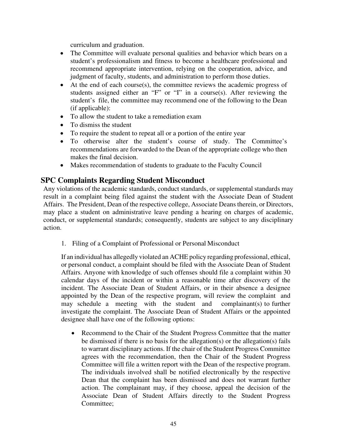curriculum and graduation.

- The Committee will evaluate personal qualities and behavior which bears on a student's professionalism and fitness to become a healthcare professional and recommend appropriate intervention, relying on the cooperation, advice, and judgment of faculty, students, and administration to perform those duties.
- At the end of each course(s), the committee reviews the academic progress of students assigned either an "F" or "I" in a course(s). After reviewing the student's file, the committee may recommend one of the following to the Dean (if applicable):
- To allow the student to take a remediation exam
- To dismiss the student
- To require the student to repeat all or a portion of the entire year
- To otherwise alter the student's course of study. The Committee's recommendations are forwarded to the Dean of the appropriate college who then makes the final decision.
- Makes recommendation of students to graduate to the Faculty Council

# **SPC Complaints Regarding Student Misconduct**

Any violations of the academic standards, conduct standards, or supplemental standards may result in a complaint being filed against the student with the Associate Dean of Student Affairs. The President, Dean of the respective college, Associate Deans therein, or Directors, may place a student on administrative leave pending a hearing on charges of academic, conduct, or supplemental standards; consequently, students are subject to any disciplinary action.

1. Filing of a Complaint of Professional or Personal Misconduct

If an individual has allegedly violated an ACHE policy regarding professional, ethical, or personal conduct, a complaint should be filed with the Associate Dean of Student Affairs. Anyone with knowledge of such offenses should file a complaint within 30 calendar days of the incident or within a reasonable time after discovery of the incident. The Associate Dean of Student Affairs, or in their absence a designee appointed by the Dean of the respective program, will review the complaint and may schedule a meeting with the student and complainant(s) to further investigate the complaint. The Associate Dean of Student Affairs or the appointed designee shall have one of the following options:

• Recommend to the Chair of the Student Progress Committee that the matter be dismissed if there is no basis for the allegation(s) or the allegation(s) fails to warrant disciplinary actions. If the chair of the Student Progress Committee agrees with the recommendation, then the Chair of the Student Progress Committee will file a written report with the Dean of the respective program. The individuals involved shall be notified electronically by the respective Dean that the complaint has been dismissed and does not warrant further action. The complainant may, if they choose, appeal the decision of the Associate Dean of Student Affairs directly to the Student Progress Committee;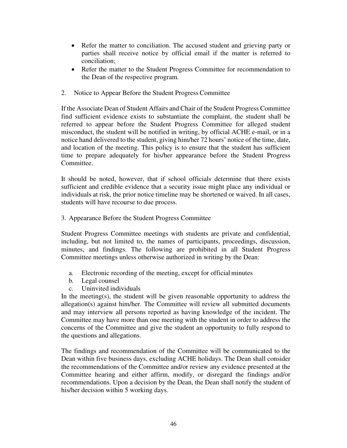- Refer the matter to conciliation. The accused student and grieving party or parties shall receive notice by official email if the matter is referred to conciliation;
- Refer the matter to the Student Progress Committee for recommendation to the Dean of the respective program.
- 2. Notice to Appear Before the Student Progress Committee

If the Associate Dean of Student Affairs and Chair of the Student Progress Committee find sufficient evidence exists to substantiate the complaint, the student shall be referred to appear before the Student Progress Committee for alleged student misconduct, the student will be notified in writing, by official ACHE e-mail, or in a notice hand delivered to the student, giving him/her 72 hours' notice of the time, date, and location of the meeting. This policy is to ensure that the student has sufficient time to prepare adequately for his/her appearance before the Student Progress Committee.

It should be noted, however, that if school officials determine that there exists sufficient and credible evidence that a security issue might place any individual or individuals at risk, the prior notice timeline may be shortened or waived. In all cases, students will have recourse to due process.

3. Appearance Before the Student Progress Committee

Student Progress Committee meetings with students are private and confidential, including, but not limited to, the names of participants, proceedings, discussion, minutes, and findings. The following are prohibited in all Student Progress Committee meetings unless otherwise authorized in writing by the Dean:

- a. Electronic recording of the meeting, except for official minutes
- b. Legal counsel
- c. Uninvited individuals

In the meeting(s), the student will be given reasonable opportunity to address the allegation(s) against him/her. The Committee will review all submitted documents and may interview all persons reported as having knowledge of the incident. The Committee may have more than one meeting with the student in order to address the concerns of the Committee and give the student an opportunity to fully respond to the questions and allegations.

The findings and recommendation of the Committee will be communicated to the Dean within five business days, excluding ACHE holidays. The Dean shall consider the recommendations of the Committee and/or review any evidence presented at the Committee hearing and either affirm, modify, or disregard the findings and/or recommendations. Upon a decision by the Dean, the Dean shall notify the student of his/her decision within 5 working days.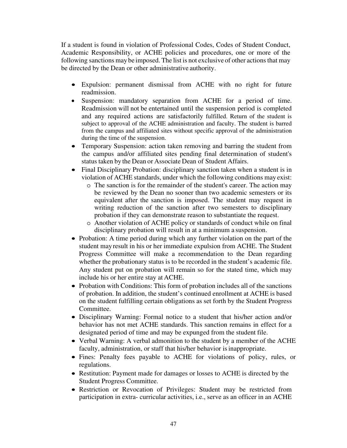If a student is found in violation of Professional Codes, Codes of Student Conduct, Academic Responsibility, or ACHE policies and procedures, one or more of the following sanctions may be imposed. The list is not exclusive of other actionsthat may be directed by the Dean or other administrative authority.

- Expulsion: permanent dismissal from ACHE with no right for future readmission.
- Suspension: mandatory separation from ACHE for a period of time. Readmission will not be entertained until the suspension period is completed and any required actions are satisfactorily fulfilled. Return of the student is subject to approval of the ACHE administration and faculty. The student is barred from the campus and affiliated sites without specific approval of the administration during the time of the suspension.
- Temporary Suspension: action taken removing and barring the student from the campus and/or affiliated sites pending final determination of student's status taken by the Dean or Associate Dean of Student Affairs.
- Final Disciplinary Probation: disciplinary sanction taken when a student is in violation of ACHE standards, under which the following conditions may exist:
	- o The sanction is for the remainder of the student's career. The action may be reviewed by the Dean no sooner than two academic semesters or its equivalent after the sanction is imposed. The student may request in writing reduction of the sanction after two semesters to disciplinary probation if they can demonstrate reason to substantiate the request.
	- o Another violation of ACHE policy or standards of conduct while on final disciplinary probation will result in at a minimum a suspension.
- Probation: A time period during which any further violation on the part of the student mayresult in his or her immediate expulsion from ACHE. The Student Progress Committee will make a recommendation to the Dean regarding whether the probationary status is to be recorded in the student's academic file. Any student put on probation will remain so for the stated time, which may include his or her entire stay at ACHE.
- Probation with Conditions: This form of probation includes all of the sanctions of probation. In addition, the student's continued enrollment at ACHE is based on the student fulfilling certain obligations as set forth by the Student Progress Committee.
- Disciplinary Warning: Formal notice to a student that his/her action and/or behavior has not met ACHE standards. This sanction remains in effect for a designated period of time and may be expunged from the student file.
- Verbal Warning: A verbal admonition to the student by a member of the ACHE faculty, administration, or staff that his/her behavior is inappropriate.
- Fines: Penalty fees payable to ACHE for violations of policy, rules, or regulations.
- Restitution: Payment made for damages or losses to ACHE is directed by the Student Progress Committee.
- Restriction or Revocation of Privileges: Student may be restricted from participation in extra- curricular activities, i.e., serve as an officer in an ACHE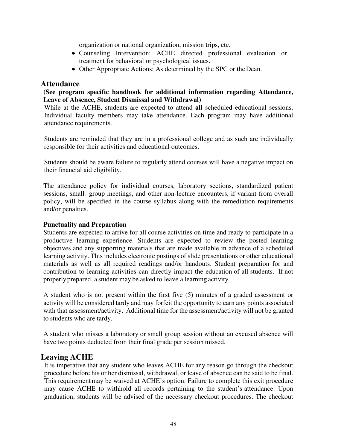organization or national organization, mission trips, etc.

- Counseling Intervention: ACHE directed professional evaluation or treatment for behavioral or psychological issues.
- Other Appropriate Actions: As determined by the SPC or the Dean.

#### **Attendance**

#### **(See program specific handbook for additional information regarding Attendance, Leave of Absence, Student Dismissal and Withdrawal)**

While at the ACHE, students are expected to attend **all** scheduled educational sessions. Individual faculty members may take attendance. Each program may have additional attendance requirements.

Students are reminded that they are in a professional college and as such are individually responsible for their activities and educational outcomes.

Students should be aware failure to regularly attend courses will have a negative impact on their financial aid eligibility.

The attendance policy for individual courses, laboratory sections, standardized patient sessions, small- group meetings, and other non-lecture encounters, if variant from overall policy, will be specified in the course syllabus along with the remediation requirements and/or penalties.

#### **Punctuality and Preparation**

Students are expected to arrive for all course activities on time and ready to participate in a productive learning experience. Students are expected to review the posted learning objectives and any supporting materials that are made available in advance of a scheduled learning activity. This includes electronic postings of slide presentations or other educational materials as well as all required readings and/or handouts. Student preparation for and contribution to learning activities can directly impact the education of all students. If not properly prepared, a student may be asked to leave a learning activity.

A student who is not present within the first five (5) minutes of a graded assessment or activity will be considered tardy and may forfeit the opportunity to earn any points associated with that assessment/activity. Additional time for the assessment/activity will not be granted to students who are tardy.

A student who misses a laboratory or small group session without an excused absence will have two points deducted from their final grade per session missed.

## **Leaving ACHE**

It is imperative that any student who leaves ACHE for any reason go through the checkout procedure before his or her dismissal, withdrawal, or leave of absence can be said to be final. This requirementmay be waived at ACHE's option. Failure to complete this exit procedure may cause ACHE to withhold all records pertaining to the student's attendance. Upon graduation, students will be advised of the necessary checkout procedures. The checkout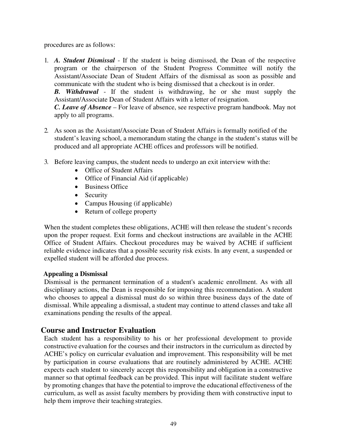procedures are as follows:

- 1. *A. Student Dismissal* If the student is being dismissed, the Dean of the respective program or the chairperson of the Student Progress Committee will notify the Assistant/Associate Dean of Student Affairs of the dismissal as soon as possible and communicate with the student who is being dismissed that a checkout is in order. *B. Withdrawal* - If the student is withdrawing, he or she must supply the Assistant/Associate Dean of Student Affairs with a letter of resignation. *C. Leave of Absence* – For leave of absence, see respective program handbook. May not apply to all programs.
- 2. As soon as the Assistant/Associate Dean of Student Affairs is formally notified of the student's leaving school, a memorandum stating the change in the student's status will be produced and all appropriate ACHE offices and professors will be notified.
- 3. Before leaving campus, the student needs to undergo an exit interview with the:
	- Office of Student Affairs
	- Office of Financial Aid (if applicable)
	- Business Office
	- Security
	- Campus Housing (if applicable)
	- Return of college property

When the student completes these obligations, ACHE will then release the student's records upon the proper request. Exit forms and checkout instructions are available in the ACHE Office of Student Affairs. Checkout procedures may be waived by ACHE if sufficient reliable evidence indicates that a possible security risk exists. In any event, a suspended or expelled student will be afforded due process.

#### **Appealing a Dismissal**

Dismissal is the permanent termination of a student's academic enrollment. As with all disciplinary actions, the Dean is responsible for imposing this recommendation. A student who chooses to appeal a dismissal must do so within three business days of the date of dismissal. While appealing a dismissal, a student may continue to attend classes and take all examinations pending the results of the appeal.

## **Course and Instructor Evaluation**

Each student has a responsibility to his or her professional development to provide constructive evaluation for the courses and their instructors in the curriculum as directed by ACHE's policy on curricular evaluation and improvement. This responsibility will be met by participation in course evaluations that are routinely administered by ACHE. ACHE expects each student to sincerely accept this responsibility and obligation in a constructive manner so that optimal feedback can be provided. This input will facilitate student welfare by promoting changes that have the potential to improve the educational effectiveness of the curriculum, as well as assist faculty members by providing them with constructive input to help them improve their teaching strategies.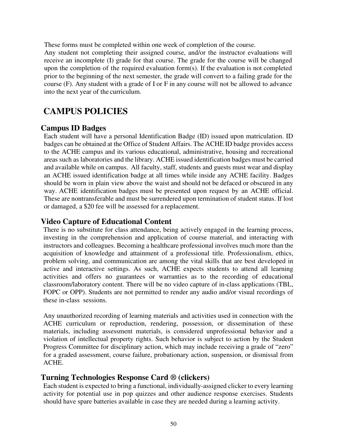These forms must be completed within one week of completion of the course.

Any student not completing their assigned course, and/or the instructor evaluations will receive an incomplete (I) grade for that course. The grade for the course will be changed upon the completion of the required evaluation form(s). If the evaluation is not completed prior to the beginning of the next semester, the grade will convert to a failing grade for the course (F). Any student with a grade of I or F in any course will not be allowed to advance into the next year of the curriculum.

# **CAMPUS POLICIES**

# **Campus ID Badges**

Each student will have a personal Identification Badge (ID) issued upon matriculation. ID badges can be obtained at the Office of Student Affairs. The ACHE ID badge provides access to the ACHE campus and its various educational, administrative, housing and recreational areas such as laboratories and the library. ACHE issued identification badges must be carried and available while on campus. All faculty, staff, students and guests must wear and display an ACHE issued identification badge at all times while inside any ACHE facility. Badges should be worn in plain view above the waist and should not be defaced or obscured in any way. ACHE identification badges must be presented upon request by an ACHE official. These are nontransferable and must be surrendered upon termination of student status. If lost or damaged, a \$20 fee will be assessed for a replacement.

# **Video Capture of Educational Content**

There is no substitute for class attendance, being actively engaged in the learning process, investing in the comprehension and application of course material, and interacting with instructors and colleagues. Becoming a healthcare professional involves much more than the acquisition of knowledge and attainment of a professional title. Professionalism, ethics, problem solving, and communication are among the vital skills that are best developed in active and interactive settings. As such, ACHE expects students to attend all learning activities and offers no guarantees or warranties as to the recording of educational classroom/laboratory content. There will be no video capture of in-class applications (TBL, FOPC or OPP). Students are not permitted to render any audio and/or visual recordings of these in-class sessions.

Any unauthorized recording of learning materials and activities used in connection with the ACHE curriculum or reproduction, rendering, possession, or dissemination of these materials, including assessment materials, is considered unprofessional behavior and a violation of intellectual property rights. Such behavior is subject to action by the Student Progress Committee for disciplinary action, which may include receiving a grade of "zero" for a graded assessment, course failure, probationary action, suspension, or dismissal from ACHE.

# **Turning Technologies Response Card ® (clickers)**

Each student is expected to bring a functional, individually-assigned clicker to every learning activity for potential use in pop quizzes and other audience response exercises. Students should have spare batteries available in case they are needed during a learning activity.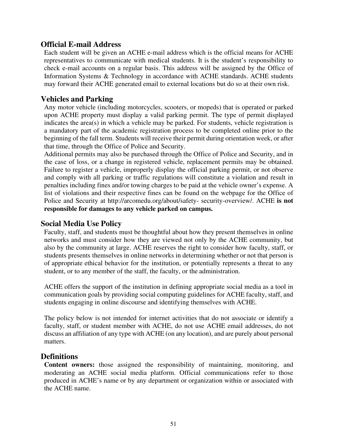# **Official E-mail Address**

Each student will be given an ACHE e-mail address which is the official means for ACHE representatives to communicate with medical students. It is the student's responsibility to check e-mail accounts on a regular basis. This address will be assigned by the Office of Information Systems & Technology in accordance with ACHE standards. ACHE students may forward their ACHE generated email to external locations but do so at their own risk.

# **Vehicles and Parking**

Any motor vehicle (including motorcycles, scooters, or mopeds) that is operated or parked upon ACHE property must display a valid parking permit. The type of permit displayed indicates the area(s) in which a vehicle may be parked. For students, vehicle registration is a mandatory part of the academic registration process to be completed online prior to the beginning of the fall term. Students will receive their permit during orientation week, or after that time, through the Office of Police and Security.

Additional permits may also be purchased through the Office of Police and Security, and in the case of loss, or a change in registered vehicle, replacement permits may be obtained. Failure to register a vehicle, improperly display the official parking permit, or not observe and comply with all parking or traffic regulations will constitute a violation and result in penalties including fines and/or towing charges to be paid at the vehicle owner's expense. A list of violations and their respective fines can be found on the webpage for the Office of Police and Secur[ity at http://arcomedu.org/about/safety- security-overview/.](http://arcomedu.org/about/safety-security-overview/) ACHE **is not responsible for damages to any vehicle parked on campus.** 

# **Social Media Use Policy**

Faculty, staff, and students must be thoughtful about how they present themselves in online networks and must consider how they are viewed not only by the ACHE community, but also by the community at large. ACHE reserves the right to consider how faculty, staff, or students presents themselves in online networks in determining whether or not that person is of appropriate ethical behavior for the institution, or potentially represents a threat to any student, or to any member of the staff, the faculty, or the administration.

ACHE offers the support of the institution in defining appropriate social media as a tool in communication goals by providing social computing guidelines for ACHE faculty, staff, and students engaging in online discourse and identifying themselves with ACHE.

The policy below is not intended for internet activities that do not associate or identify a faculty, staff, or student member with ACHE, do not use ACHE email addresses, do not discuss an affiliation of any type with ACHE (on any location), and are purely about personal matters.

# **Definitions**

**Content owners:** those assigned the responsibility of maintaining, monitoring, and moderating an ACHE social media platform. Official communications refer to those produced in ACHE's name or by any department or organization within or associated with the ACHE name.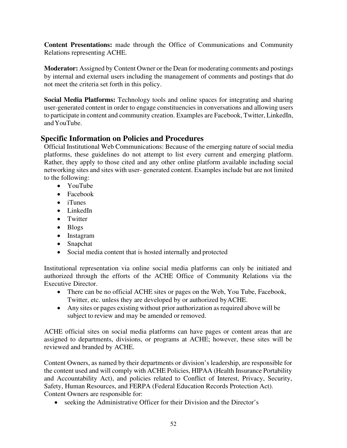**Content Presentations:** made through the Office of Communications and Community Relations representing ACHE.

**Moderator:** Assigned by Content Owner or the Dean for moderating comments and postings by internal and external users including the management of comments and postings that do not meet the criteria set forth in this policy.

**Social Media Platforms:** Technology tools and online spaces for integrating and sharing user-generated content in order to engage constituencies in conversations and allowing users to participate in content and community creation. Examples are Facebook, Twitter, LinkedIn, and YouTube.

# **Specific Information on Policies and Procedures**

Official Institutional Web Communications: Because of the emerging nature of social media platforms, these guidelines do not attempt to list every current and emerging platform. Rather, they apply to those cited and any other online platform available including social networking sites and sites with user- generated content. Examples include but are not limited to the following:

- YouTube
- Facebook
- iTunes
- LinkedIn
- Twitter
- Blogs
- Instagram
- Snapchat
- Social media content that is hosted internally and protected

Institutional representation via online social media platforms can only be initiated and authorized through the efforts of the ACHE Office of Community Relations via the Executive Director.

- There can be no official ACHE sites or pages on the Web, You Tube, Facebook, Twitter, etc. unless they are developed by or authorized by ACHE.
- Any sites or pages existing without prior authorization as required above will be subject to review and may be amended or removed.

ACHE official sites on social media platforms can have pages or content areas that are assigned to departments, divisions, or programs at ACHE; however, these sites will be reviewed and branded by ACHE.

Content Owners, as named by their departments or division's leadership, are responsible for the content used and will comply with ACHE Policies, HIPAA (Health Insurance Portability and Accountability Act), and policies related to Conflict of Interest, Privacy, Security, Safety, Human Resources, and FERPA (Federal Education Records Protection Act). Content Owners are responsible for:

• seeking the Administrative Officer for their Division and the Director's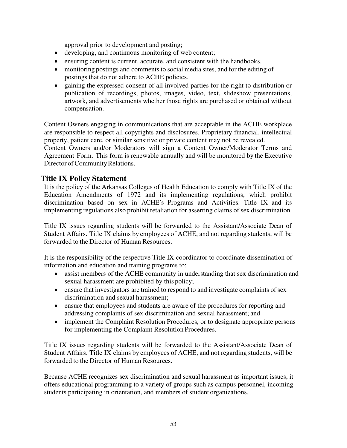approval prior to development and posting;

- developing, and continuous monitoring of web content;
- ensuring content is current, accurate, and consistent with the handbooks.
- monitoring postings and comments to social media sites, and for the editing of postings that do not adhere to ACHE policies.
- gaining the expressed consent of all involved parties for the right to distribution or publication of recordings, photos, images, video, text, slideshow presentations, artwork, and advertisements whether those rights are purchased or obtained without compensation.

Content Owners engaging in communications that are acceptable in the ACHE workplace are responsible to respect all copyrights and disclosures. Proprietary financial, intellectual property, patient care, or similar sensitive or private content may not be revealed.

Content Owners and/or Moderators will sign a [Content Owner/Moderator Terms and](http://www.mc.vanderbilt.edu/root/vumc.php?site=socialmediatoolkit&amp%3Bamp%3Bdoc=26828)  [Agreement Form.](http://www.mc.vanderbilt.edu/root/vumc.php?site=socialmediatoolkit&amp%3Bamp%3Bdoc=26828) This form is renewable annually and will be monitored by the Executive Director of Community Relations.

# **Title IX Policy Statement**

It is the policy of the Arkansas Colleges of Health Education to comply with Title IX of the Education Amendments of 1972 and its implementing regulations, which prohibit discrimination based on sex in ACHE's Programs and Activities. Title IX and its implementing regulations also prohibit retaliation for asserting claims of sex discrimination.

Title IX issues regarding students will be forwarded to the Assistant/Associate Dean of Student Affairs. Title IX claims by employees of ACHE, and not regarding students, will be forwarded to the Director of Human Resources.

It is the responsibility of the respective Title IX coordinator to coordinate dissemination of information and education and training programs to:

- assist members of the ACHE community in understanding that sex discrimination and sexual harassment are prohibited by this policy;
- ensure that investigators are trained to respond to and investigate complaints of sex discrimination and sexual harassment;
- ensure that employees and students are aware of the procedures for reporting and addressing complaints of sex discrimination and sexual harassment; and
- implement the Complaint Resolution Procedures, or to designate appropriate persons for implementing the Complaint Resolution Procedures.

Title IX issues regarding students will be forwarded to the Assistant/Associate Dean of Student Affairs. Title IX claims by employees of ACHE, and not regarding students, will be forwarded to the Director of Human Resources.

Because ACHE recognizes sex discrimination and sexual harassment as important issues, it offers educational programming to a variety of groups such as campus personnel, incoming students participating in orientation, and members of student organizations.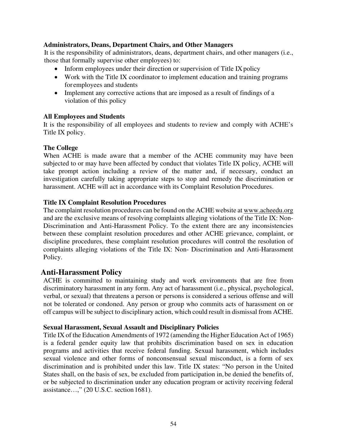#### **Administrators, Deans, Department Chairs, and Other Managers**

It is the responsibility of administrators, deans, department chairs, and other managers (i.e., those that formally supervise other employees) to:

- Inform employees under their direction or supervision of Title IX policy
- Work with the Title IX coordinator to implement education and training programs for employees and students
- Implement any corrective actions that are imposed as a result of findings of a violation of this policy

#### **All Employees and Students**

It is the responsibility of all employees and students to review and comply with ACHE's Title IX policy.

#### **The College**

When ACHE is made aware that a member of the ACHE community may have been subjected to or may have been affected by conduct that violates Title IX policy, ACHE will take prompt action including a review of the matter and, if necessary, conduct an investigation carefully taking appropriate steps to stop and remedy the discrimination or harassment. ACHE will act in accordance with its Complaint Resolution Procedures.

#### **Title IX Complaint Resolution Procedures**

The complaint resolution procedures can be found on the ACHE website at www.acheedu.org and are the exclusive means of resolving complaints alleging violations of the Title IX: Non-Discrimination and Anti-Harassment Policy. To the extent there are any inconsistencies between these complaint resolution procedures and other ACHE grievance, complaint, or discipline procedures, these complaint resolution procedures will control the resolution of complaints alleging violations of the Title IX: Non- Discrimination and Anti-Harassment Policy.

## **Anti-Harassment Policy**

ACHE is committed to maintaining study and work environments that are free from discriminatory harassment in any form. Any act of harassment (i.e., physical, psychological, verbal, or sexual) that threatens a person or persons is considered a serious offense and will not be tolerated or condoned. Any person or group who commits acts of harassment on or off campus will be subject to disciplinary action, which could result in dismissal from ACHE.

#### **Sexual Harassment, Sexual Assault and Disciplinary Policies**

Title IX of the Education Amendments of 1972 (amending the Higher Education Act of 1965) is a federal gender equity law that prohibits discrimination based on sex in education programs and activities that receive federal funding. Sexual harassment, which includes sexual violence and other forms of nonconsensual sexual misconduct, is a form of sex discrimination and is prohibited under this law. Title IX states: "No person in the United States shall, on the basis of sex, be excluded from participation in, be denied the benefits of, or be subjected to discrimination under any education program or activity receiving federal assistance…," (20 U.S.C. section 1681).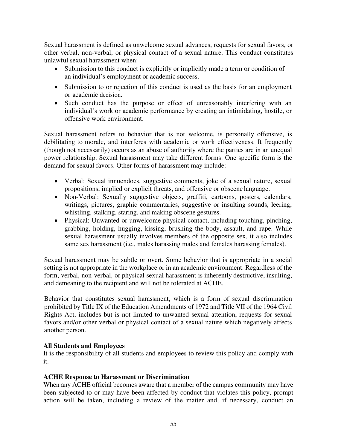Sexual harassment is defined as unwelcome sexual advances, requests for sexual favors, or other verbal, non-verbal, or physical contact of a sexual nature. This conduct constitutes unlawful sexual harassment when:

- Submission to this conduct is explicitly or implicitly made a term or condition of an individual's employment or academic success.
- Submission to or rejection of this conduct is used as the basis for an employment or academic decision.
- Such conduct has the purpose or effect of unreasonably interfering with an individual's work or academic performance by creating an intimidating, hostile, or offensive work environment.

Sexual harassment refers to behavior that is not welcome, is personally offensive, is debilitating to morale, and interferes with academic or work effectiveness. It frequently (though not necessarily) occurs as an abuse of authority where the parties are in an unequal power relationship. Sexual harassment may take different forms. One specific form is the demand for sexual favors. Other forms of harassment may include:

- Verbal: Sexual innuendoes, suggestive comments, joke of a sexual nature, sexual propositions, implied or explicit threats, and offensive or obscene language.
- Non-Verbal: Sexually suggestive objects, graffiti, cartoons, posters, calendars, writings, pictures, graphic commentaries, suggestive or insulting sounds, leering, whistling, stalking, staring, and making obscene gestures.
- Physical: Unwanted or unwelcome physical contact, including touching, pinching, grabbing, holding, hugging, kissing, brushing the body, assault, and rape. While sexual harassment usually involves members of the opposite sex, it also includes same sex harassment (i.e., males harassing males and females harassing females).

Sexual harassment may be subtle or overt. Some behavior that is appropriate in a social setting is not appropriate in the workplace or in an academic environment. Regardless of the form, verbal, non-verbal, or physical sexual harassment is inherently destructive, insulting, and demeaning to the recipient and will not be tolerated at ACHE.

Behavior that constitutes sexual harassment, which is a form of sexual discrimination prohibited by Title IX of the Education Amendments of 1972 and Title VII of the 1964 Civil Rights Act, includes but is not limited to unwanted sexual attention, requests for sexual favors and/or other verbal or physical contact of a sexual nature which negatively affects another person.

## **All Students and Employees**

It is the responsibility of all students and employees to review this policy and comply with it.

## **ACHE Response to Harassment or Discrimination**

When any ACHE official becomes aware that a member of the campus community may have been subjected to or may have been affected by conduct that violates this policy, prompt action will be taken, including a review of the matter and, if necessary, conduct an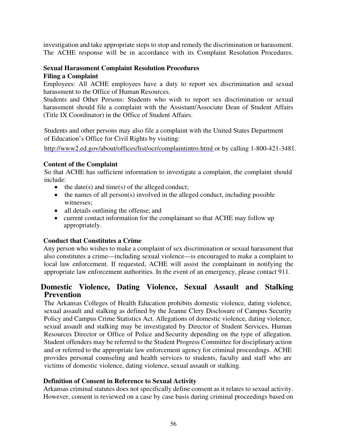investigation and take appropriate steps to stop and remedy the discrimination or harassment. The ACHE response will be in accordance with its Complaint Resolution Procedures.

#### **Sexual Harassment Complaint Resolution Procedures Filing a Complaint**

Employees: All ACHE employees have a duty to report sex discrimination and sexual harassment to the Office of Human Resources.

Students and Other Persons: Students who wish to report sex discrimination or sexual harassment should file a complaint with the Assistant/Associate Dean of Student Affairs (Title IX Coordinator) in the Office of Student Affairs.

Students and other persons may also file a complaint with the United States Department of Education's Office for Civil Rights by visiting:

[http://www2.ed.gov/about/offices/list/ocr/complaintintro.html o](http://www2.ed.gov/about/offices/list/ocr/complaintintro.html)r by calling 1-800-421-3481.

## **Content of the Complaint**

So that ACHE has sufficient information to investigate a complaint, the complaint should include:

- $\bullet$  the date(s) and time(s) of the alleged conduct;
- the names of all person(s) involved in the alleged conduct, including possible witnesses;
- all details outlining the offense; and
- current contact information for the complainant so that ACHE may follow up appropriately.

## **Conduct that Constitutes a Crime**

Any person who wishes to make a complaint of sex discrimination or sexual harassment that also constitutes a crime—including sexual violence—is encouraged to make a complaint to local law enforcement. If requested, ACHE will assist the complainant in notifying the appropriate law enforcement authorities. In the event of an emergency, please contact 911.

# **Domestic Violence, Dating Violence, Sexual Assault and Stalking Prevention**

The Arkansas Colleges of Health Education prohibits domestic violence, dating violence, sexual assault and stalking as defined by the Jeanne Clery Disclosure of Campus Security Policy and Campus Crime Statistics Act. Allegations of domestic violence, dating violence, sexual assault and stalking may be investigated by Director of Student Services, Human Resources Director or Office of Police and Security depending on the type of allegation. Student offenders may be referred to the Student Progress Committee for disciplinary action and or referred to the appropriate law enforcement agency for criminal proceedings. ACHE provides personal counseling and health services to students, faculty and staff who are victims of domestic violence, dating violence, sexual assault or stalking.

#### **Definition of Consent in Reference to Sexual Activity**

Arkansas criminal statutes does not specifically define consent as it relates to sexual activity. However, consent is reviewed on a case by case basis during criminal proceedings based on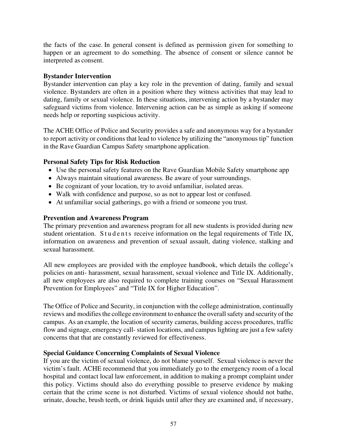the facts of the case. In general consent is defined as permission given for something to happen or an agreement to do something. The absence of consent or silence cannot be interpreted as consent.

#### **Bystander Intervention**

Bystander intervention can play a key role in the prevention of dating, family and sexual violence. Bystanders are often in a position where they witness activities that may lead to dating, family or sexual violence. In these situations, intervening action by a bystander may safeguard victims from violence. Intervening action can be as simple as asking if someone needs help or reporting suspicious activity.

The ACHE Office of Police and Security provides a safe and anonymous way for a bystander to report activity or conditions that lead to violence by utilizing the "anonymous tip" function in the Rave Guardian Campus Safety smartphone application.

#### **Personal Safety Tips for Risk Reduction**

- Use the personal safety features on the Rave Guardian Mobile Safety smartphone app
- Always maintain situational awareness. Be aware of your surroundings.
- Be cognizant of your location, try to avoid unfamiliar, isolated areas.
- Walk with confidence and purpose, so as not to appear lost or confused.
- At unfamiliar social gatherings, go with a friend or someone you trust.

#### **Prevention and Awareness Program**

The primary prevention and awareness program for all new students is provided during new student orientation. Students receive information on the legal requirements of Title IX, information on awareness and prevention of sexual assault, dating violence, stalking and sexual harassment.

All new employees are provided with the employee handbook, which details the college's policies on anti- harassment, sexual harassment, sexual violence and Title IX. Additionally, all new employees are also required to complete training courses on "Sexual Harassment Prevention for Employees" and "Title IX for Higher Education".

The Office of Police and Security, in conjunction with the college administration, continually reviews and modifies the college environment to enhance the overall safety and security of the campus. As an example, the location of security cameras, building access procedures, traffic flow and signage, emergency call- station locations, and campus lighting are just a few safety concerns that that are constantly reviewed for effectiveness.

#### **Special Guidance Concerning Complaints of Sexual Violence**

If you are the victim of sexual violence, do not blame yourself. Sexual violence is never the victim's fault. ACHE recommend that you immediately go to the emergency room of a local hospital and contact local law enforcement, in addition to making a prompt complaint under this policy. Victims should also do everything possible to preserve evidence by making certain that the crime scene is not disturbed. Victims of sexual violence should not bathe, urinate, douche, brush teeth, or drink liquids until after they are examined and, if necessary,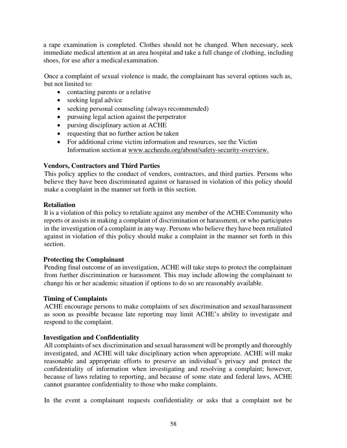a rape examination is completed. Clothes should not be changed. When necessary, seek immediate medical attention at an area hospital and take a full change of clothing, including shoes, for use after a medical examination.

Once a complaint of sexual violence is made, the complainant has several options such as, but not limited to:

- contacting parents or a relative
- seeking legal advice
- seeking personal counseling (always recommended)
- pursuing legal action against the perpetrator
- pursing disciplinary action at ACHE
- requesting that no further action be taken
- For additional crime victim information and resources, see the Victim Information section at [www.accheedu.org/about/safety-security-overview.](http://www.accheedu.org/about/safety-security-overview.)

#### **Vendors, Contractors and Third Parties**

This policy applies to the conduct of vendors, contractors, and third parties. Persons who believe they have been discriminated against or harassed in violation of this policy should make a complaint in the manner set forth in this section.

#### **Retaliation**

It is a violation of this policy to retaliate against any member of the ACHE Community who reports or assists in making a complaint of discrimination or harassment, or who participates in the investigation of a complaint in any way. Persons who believe they have been retaliated against in violation of this policy should make a complaint in the manner set forth in this section.

#### **Protecting the Complainant**

Pending final outcome of an investigation, ACHE will take steps to protect the complainant from further discrimination or harassment. This may include allowing the complainant to change his or her academic situation if options to do so are reasonably available.

#### **Timing of Complaints**

ACHE encourage persons to make complaints of sex discrimination and sexual harassment as soon as possible because late reporting may limit ACHE's ability to investigate and respond to the complaint.

#### **Investigation and Confidentiality**

All complaints of sex discrimination and sexual harassment will be promptly and thoroughly investigated, and ACHE will take disciplinary action when appropriate. ACHE will make reasonable and appropriate efforts to preserve an individual's privacy and protect the confidentiality of information when investigating and resolving a complaint; however, because of laws relating to reporting, and because of some state and federal laws, ACHE cannot guarantee confidentiality to those who make complaints.

In the event a complainant requests confidentiality or asks that a complaint not be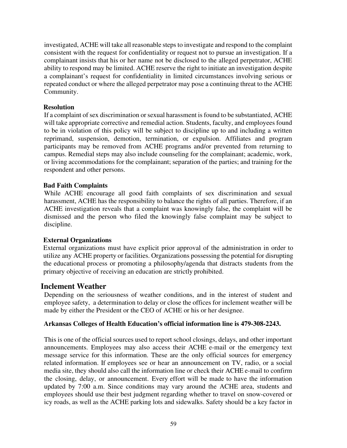investigated, ACHE will take all reasonable steps to investigate and respond to the complaint consistent with the request for confidentiality or request not to pursue an investigation. If a complainant insists that his or her name not be disclosed to the alleged perpetrator, ACHE ability to respond may be limited. ACHE reserve the right to initiate an investigation despite a complainant's request for confidentiality in limited circumstances involving serious or repeated conduct or where the alleged perpetrator may pose a continuing threat to the ACHE Community.

#### **Resolution**

If a complaint of sex discrimination or sexual harassment is found to be substantiated, ACHE will take appropriate corrective and remedial action. Students, faculty, and employees found to be in violation of this policy will be subject to discipline up to and including a written reprimand, suspension, demotion, termination, or expulsion. Affiliates and program participants may be removed from ACHE programs and/or prevented from returning to campus. Remedial steps may also include counseling for the complainant; academic, work, or living accommodations for the complainant; separation of the parties; and training for the respondent and other persons.

#### **Bad Faith Complaints**

While ACHE encourage all good faith complaints of sex discrimination and sexual harassment, ACHE has the responsibility to balance the rights of all parties. Therefore, if an ACHE investigation reveals that a complaint was knowingly false, the complaint will be dismissed and the person who filed the knowingly false complaint may be subject to discipline.

## **External Organizations**

External organizations must have explicit prior approval of the administration in order to utilize any ACHE property or facilities. Organizations possessing the potential for disrupting the educational process or promoting a philosophy/agenda that distracts students from the primary objective of receiving an education are strictly prohibited.

## **Inclement Weather**

Depending on the seriousness of weather conditions, and in the interest of student and employee safety, a determination to delay or close the offices for inclement weather will be made by either the President or the CEO of ACHE or his or her designee.

#### **Arkansas Colleges of Health Education's official information line is 479-308-2243.**

This is one of the official sources used to report school closings, delays, and other important announcements. Employees may also access their ACHE e-mail or the emergency text message service for this information. These are the only official sources for emergency related information. If employees see or hear an announcement on TV, radio, or a social media site, they should also call the information line or check their ACHE e-mail to confirm the closing, delay, or announcement. Every effort will be made to have the information updated by 7:00 a.m. Since conditions may vary around the ACHE area, students and employees should use their best judgment regarding whether to travel on snow-covered or icy roads, as well as the ACHE parking lots and sidewalks. Safety should be a key factor in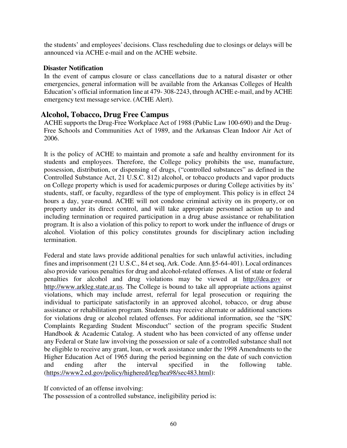the students' and employees' decisions. Class rescheduling due to closings or delays will be announced via ACHE e-mail and on the ACHE website.

#### **Disaster Notification**

In the event of campus closure or class cancellations due to a natural disaster or other emergencies, general information will be available from the Arkansas Colleges of Health Education's official information line at 479- 308-2243, through ACHE e-mail, and by ACHE emergency text message service. (ACHE Alert).

# **Alcohol, Tobacco, Drug Free Campus**

ACHE supports the Drug-Free Workplace Act of 1988 (Public Law 100-690) and the Drug-Free Schools and Communities Act of 1989, and the Arkansas Clean Indoor Air Act of 2006.

It is the policy of ACHE to maintain and promote a safe and healthy environment for its students and employees. Therefore, the College policy prohibits the use, manufacture, possession, distribution, or dispensing of drugs, ("controlled substances" as defined in the Controlled Substance Act, 21 U.S.C. 812) alcohol, or tobacco products and vapor products on College property which is used for academic purposes or during College activities by its' students, staff, or faculty, regardless of the type of employment. This policy is in effect 24 hours a day, year-round. ACHE will not condone criminal activity on its property, or on property under its direct control, and will take appropriate personnel action up to and including termination or required participation in a drug abuse assistance or rehabilitation program. It is also a violation of this policy to report to work under the influence of drugs or alcohol. Violation of this policy constitutes grounds for disciplinary action including termination.

Federal and state laws provide additional penalties for such unlawful activities, including fines and imprisonment (21 U.S.C., 84 et seq, Ark. Code. Ann.§5-64-401). Local ordinances also provide various penalties for drug and alcohol-related offenses. A list of state or federal penalties for alcohol and drug violations may be viewed at [http://dea.gov](http://dea.gov/) or [http://www.arkleg.state.ar.us.](http://www.arkleg.state.ar.us/) The College is bound to take all appropriate actions against violations, which may include arrest, referral for legal prosecution or requiring the individual to participate satisfactorily in an approved alcohol, tobacco, or drug abuse assistance or rehabilitation program. Students may receive alternate or additional sanctions for violations drug or alcohol related offenses. For additional information, see the "SPC Complaints Regarding Student Misconduct" section of the program specific Student Handbook & Academic Catalog. A student who has been convicted of any offense under any Federal or State law involving the possession or sale of a controlled substance shall not be eligible to receive any grant, loan, or work assistance under the 1998 Amendments to the Higher Education Act of 1965 during the period beginning on the date of such conviction and ending after the interval specified in the following table. [\(https://www2.ed.gov/policy/highered/leg/hea98/sec483.html\)](https://www2.ed.gov/policy/highered/leg/hea98/sec483.html):

If convicted of an offense involving:

The possession of a controlled substance, ineligibility period is: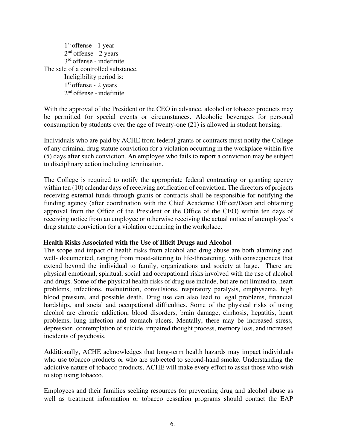1 st offense - 1 year 2<sup>nd</sup> offense - 2 years 3 rd offense - indefinite The sale of a controlled substance, Ineligibility period is: 1 st offense - 2 years 2<sup>nd</sup> offense - indefinite

With the approval of the President or the CEO in advance, alcohol or tobacco products may be permitted for special events or circumstances. Alcoholic beverages for personal consumption by students over the age of twenty-one (21) is allowed in student housing.

Individuals who are paid by ACHE from federal grants or contracts must notify the College of any criminal drug statute conviction for a violation occurring in the workplace within five (5) days after such conviction. An employee who fails to report a conviction may be subject to disciplinary action including termination.

The College is required to notify the appropriate federal contracting or granting agency within ten (10) calendar days of receiving notification of conviction. The directors of projects receiving external funds through grants or contracts shall be responsible for notifying the funding agency (after coordination with the Chief Academic Officer/Dean and obtaining approval from the Office of the President or the Office of the CEO) within ten days of receiving notice from an employee or otherwise receiving the actual notice of an employee's drug statute conviction for a violation occurring in the workplace.

#### **Health Risks Associated with the Use of Illicit Drugs and Alcohol**

The scope and impact of health risks from alcohol and drug abuse are both alarming and well- documented, ranging from mood-altering to life-threatening, with consequences that extend beyond the individual to family, organizations and society at large. There are physical emotional, spiritual, social and occupational risks involved with the use of alcohol and drugs. Some of the physical health risks of drug use include, but are not limited to, heart problems, infections, malnutrition, convulsions, respiratory paralysis, emphysema, high blood pressure, and possible death. Drug use can also lead to legal problems, financial hardships, and social and occupational difficulties. Some of the physical risks of using alcohol are chronic addiction, blood disorders, brain damage, cirrhosis, hepatitis, heart problems, lung infection and stomach ulcers. Mentally, there may be increased stress, depression, contemplation of suicide, impaired thought process, memory loss, and increased incidents of psychosis.

Additionally, ACHE acknowledges that long-term health hazards may impact individuals who use tobacco products or who are subjected to second-hand smoke. Understanding the addictive nature of tobacco products, ACHE will make every effort to assist those who wish to stop using tobacco.

Employees and their families seeking resources for preventing drug and alcohol abuse as well as treatment information or tobacco cessation programs should contact the EAP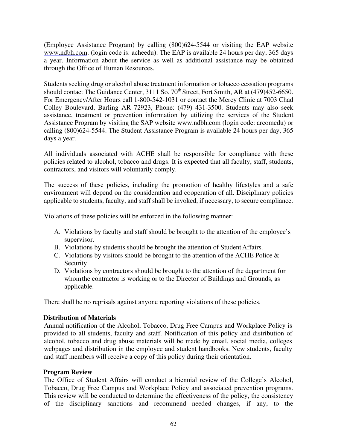(Employee Assistance Program) by calling (800)624-5544 or visiting the EAP website [www.ndbh.com.](http://www.ndbh.com/) (login code is: acheedu). The EAP is available 24 hours per day, 365 days a year. Information about the service as well as additional assistance may be obtained through the Office of Human Resources.

Students seeking drug or alcohol abuse treatment information or tobacco cessation programs should contact The Guidance Center, 3111 So. 70<sup>th</sup> Street, Fort Smith, AR at (479)452-6650. For Emergency/After Hours call 1-800-542-1031 or contact the Mercy Clinic at 7003 Chad Colley Boulevard, Barling AR 72923, Phone: (479) 431-3500. Students may also seek assistance, treatment or prevention information by utilizing the services of the Student Assistance Program by visiting the SAP website [www.ndbh.com \(](http://www.ndbh.com/)login code: arcomedu) or calling (800)624-5544. The Student Assistance Program is available 24 hours per day, 365 days a year.

All individuals associated with ACHE shall be responsible for compliance with these policies related to alcohol, tobacco and drugs. It is expected that all faculty, staff, students, contractors, and visitors will voluntarily comply.

The success of these policies, including the promotion of healthy lifestyles and a safe environment will depend on the consideration and cooperation of all. Disciplinary policies applicable to students, faculty, and staff shall be invoked, if necessary, to secure compliance.

Violations of these policies will be enforced in the following manner:

- A. Violations by faculty and staff should be brought to the attention of the employee's supervisor.
- B. Violations by students should be brought the attention of Student Affairs.
- C. Violations by visitors should be brought to the attention of the ACHE Police  $\&$ **Security**
- D. Violations by contractors should be brought to the attention of the department for whom the contractor is working or to the Director of Buildings and Grounds, as applicable.

There shall be no reprisals against anyone reporting violations of these policies.

#### **Distribution of Materials**

Annual notification of the Alcohol, Tobacco, Drug Free Campus and Workplace Policy is provided to all students, faculty and staff. Notification of this policy and distribution of alcohol, tobacco and drug abuse materials will be made by email, social media, colleges webpages and distribution in the employee and student handbooks. New students, faculty and staff members will receive a copy of this policy during their orientation.

#### **Program Review**

The Office of Student Affairs will conduct a biennial review of the College's Alcohol, Tobacco, Drug Free Campus and Workplace Policy and associated prevention programs. This review will be conducted to determine the effectiveness of the policy, the consistency of the disciplinary sanctions and recommend needed changes, if any, to the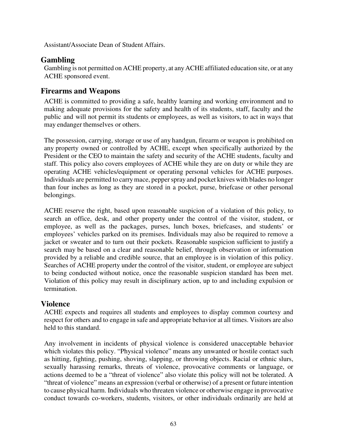Assistant/Associate Dean of Student Affairs.

# **Gambling**

Gambling is not permitted on ACHE property, at any ACHE affiliated education site, or at any ACHE sponsored event.

# **Firearms and Weapons**

ACHE is committed to providing a safe, healthy learning and working environment and to making adequate provisions for the safety and health of its students, staff, faculty and the public and will not permit its students or employees, as well as visitors, to act in ways that may endanger themselves or others.

The possession, carrying, storage or use of any handgun, firearm or weapon is prohibited on any property owned or controlled by ACHE, except when specifically authorized by the President or the CEO to maintain the safety and security of the ACHE students, faculty and staff. This policy also covers employees of ACHE while they are on duty or while they are operating ACHE vehicles/equipment or operating personal vehicles for ACHE purposes. Individuals are permitted to carrymace, pepperspray and pocket knives with blades no longer than four inches as long as they are stored in a pocket, purse, briefcase or other personal belongings.

ACHE reserve the right, based upon reasonable suspicion of a violation of this policy, to search an office, desk, and other property under the control of the visitor, student, or employee, as well as the packages, purses, lunch boxes, briefcases, and students' or employees' vehicles parked on its premises. Individuals may also be required to remove a jacket or sweater and to turn out their pockets. Reasonable suspicion sufficient to justify a search may be based on a clear and reasonable belief, through observation or information provided by a reliable and credible source, that an employee is in violation of this policy. Searches of ACHE property under the control of the visitor, student, or employee are subject to being conducted without notice, once the reasonable suspicion standard has been met. Violation of this policy may result in disciplinary action, up to and including expulsion or termination.

# **Violence**

ACHE expects and requires all students and employees to display common courtesy and respect for others and to engage in safe and appropriate behavior at all times. Visitors are also held to this standard.

Any involvement in incidents of physical violence is considered unacceptable behavior which violates this policy. "Physical violence" means any unwanted or hostile contact such as hitting, fighting, pushing, shoving, slapping, or throwing objects. Racial or ethnic slurs, sexually harassing remarks, threats of violence, provocative comments or language, or actions deemed to be a "threat of violence" also violate this policy will not be tolerated. A "threat of violence" means an expression (verbal or otherwise) of a present or future intention to cause physical harm. Individuals who threaten violence or otherwise engage in provocative conduct towards co-workers, students, visitors, or other individuals ordinarily are held at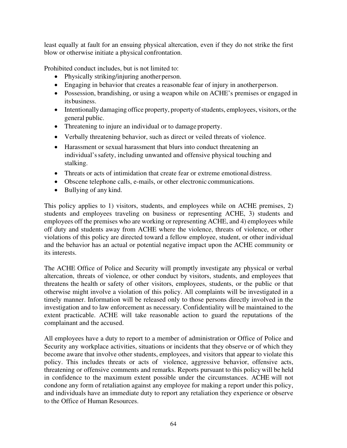least equally at fault for an ensuing physical altercation, even if they do not strike the first blow or otherwise initiate a physical confrontation.

Prohibited conduct includes, but is not limited to:

- Physically striking/injuring another person.
- Engaging in behavior that creates a reasonable fear of injury in another person.
- Possession, brandishing, or using a weapon while on ACHE's premises or engaged in its business.
- Intentionally damaging office property, property of students, employees, visitors, or the general public.
- Threatening to injure an individual or to damage property.
- Verbally threatening behavior, such as direct or veiled threats of violence.
- Harassment or sexual harassment that blurs into conduct threatening an individual's safety, including unwanted and offensive physical touching and stalking.
- Threats or acts of intimidation that create fear or extreme emotional distress.
- Obscene telephone calls, e-mails, or other electronic communications.
- Bullying of any kind.

This policy applies to 1) visitors, students, and employees while on ACHE premises, 2) students and employees traveling on business or representing ACHE, 3) students and employees off the premises who are working or representing ACHE, and 4) employees while off duty and students away from ACHE where the violence, threats of violence, or other violations of this policy are directed toward a fellow employee, student, or other individual and the behavior has an actual or potential negative impact upon the ACHE community or its interests.

The ACHE Office of Police and Security will promptly investigate any physical or verbal altercation, threats of violence, or other conduct by visitors, students, and employees that threatens the health or safety of other visitors, employees, students, or the public or that otherwise might involve a violation of this policy. All complaints will be investigated in a timely manner. Information will be released only to those persons directly involved in the investigation and to law enforcement as necessary. Confidentiality will be maintained to the extent practicable. ACHE will take reasonable action to guard the reputations of the complainant and the accused.

All employees have a duty to report to a member of administration or Office of Police and Security any workplace activities, situations or incidents that they observe or of which they become aware that involve other students, employees, and visitors that appear to violate this policy. This includes threats or acts of violence, aggressive behavior, offensive acts, threatening or offensive comments and remarks. Reports pursuant to this policy will be held in confidence to the maximum extent possible under the circumstances. ACHE will not condone any form of retaliation against any employee for making a report under this policy, and individuals have an immediate duty to report any retaliation they experience or observe to the Office of Human Resources.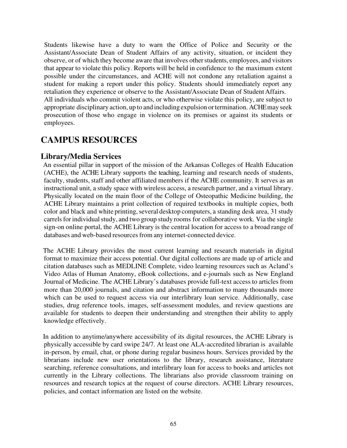Students likewise have a duty to warn the Office of Police and Security or the Assistant/Associate Dean of Student Affairs of any activity, situation, or incident they observe, or of which they become aware that involves other students, employees, and visitors that appear to violate this policy. Reports will be held in confidence to the maximum extent possible under the circumstances, and ACHE will not condone any retaliation against a student for making a report under this policy. Students should immediately report any retaliation they experience or observe to the Assistant/Associate Dean of Student Affairs. All individuals who commit violent acts, or who otherwise violate this policy, are subject to appropriate disciplinary action, up to and including expulsion or termination. ACHEmay seek prosecution of those who engage in violence on its premises or against its students or employees.

# **CAMPUS RESOURCES**

# **Library/Media Services**

An essential pillar in support of the mission of the Arkansas Colleges of Health Education (ACHE), the ACHE Library supports the teaching, learning and research needs of students, faculty, students, staff and other affiliated members if the ACHE community. It serves as an instructional unit, a study space with wireless access, a research partner, and a virtual library. Physically located on the main floor of the College of Osteopathic Medicine building, the ACHE Library maintains a print collection of required textbooks in multiple copies, both color and black and white printing, several desktop computers, a standing desk area, 31 study carrels for individual study, and two group study rooms for collaborative work. Via the single sign-on online portal, the ACHE Library is the central location for access to a broad range of databases and web-based resources from any internet-connected device.

The ACHE Library provides the most current learning and research materials in digital format to maximize their access potential. Our digital collections are made up of article and citation databases such as MEDLINE Complete, video learning resources such as Acland's Video Atlas of Human Anatomy, eBook collections, and e-journals such as New England Journal of Medicine. The ACHE Library's databases provide full-text access to articles from more than 20,000 journals, and citation and abstract information to many thousands more which can be used to request access via our interlibrary loan service. Additionally, case studies, drug reference tools, images, self-assessment modules, and review questions are available for students to deepen their understanding and strengthen their ability to apply knowledge effectively.

In addition to anytime/anywhere accessibility of its digital resources, the ACHE Library is physically accessible by card swipe 24/7. At least one ALA-accredited librarian is available in-person, by email, chat, or phone during regular business hours. Services provided by the librarians include new user orientations to the library, research assistance, literature searching, reference consultations, and interlibrary loan for access to books and articles not currently in the Library collections. The librarians also provide classroom training on resources and research topics at the request of course directors. ACHE Library resources, policies, and contact information are listed on the website.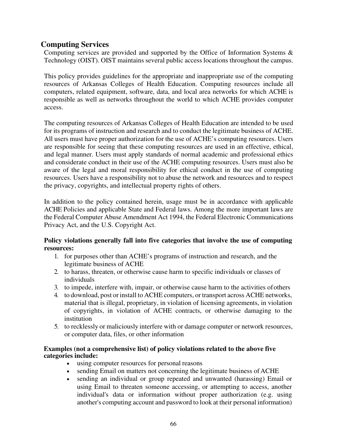# **Computing Services**

Computing services are provided and supported by the Office of Information Systems & Technology (OIST). OIST maintains several public access locations throughout the campus.

This policy provides guidelines for the appropriate and inappropriate use of the computing resources of Arkansas Colleges of Health Education. Computing resources include all computers, related equipment, software, data, and local area networks for which ACHE is responsible as well as networks throughout the world to which ACHE provides computer access.

The computing resources of Arkansas Colleges of Health Education are intended to be used for its programs of instruction and research and to conduct the legitimate business of ACHE. All users must have proper authorization for the use of ACHE's computing resources. Users are responsible for seeing that these computing resources are used in an effective, ethical, and legal manner. Users must apply standards of normal academic and professional ethics and considerate conduct in their use of the ACHE computing resources. Users must also be aware of the legal and moral responsibility for ethical conduct in the use of computing resources. Users have a responsibility not to abuse the network and resources and to respect the privacy, copyrights, and intellectual property rights of others.

In addition to the policy contained herein, usage must be in accordance with applicable ACHE Policies and applicable State and Federal laws. Among the more important laws are the Federal Computer Abuse Amendment Act 1994, the Federal Electronic Communications Privacy Act, and the U.S. Copyright Act.

## **Policy violations generally fall into five categories that involve the use of computing resources:**

- 1. for purposes other than ACHE's programs of instruction and research, and the legitimate business of ACHE
- 2. to harass, threaten, or otherwise cause harm to specific individuals or classes of individuals
- 3. to impede, interfere with, impair, or otherwise cause harm to the activities of others
- 4. to download, post or install to ACHE computers, or transport across ACHE networks, material that is illegal, proprietary, in violation of licensing agreements, in violation of copyrights, in violation of ACHE contracts, or otherwise damaging to the institution
- 5. to recklessly or maliciously interfere with or damage computer or network resources, or computer data, files, or other information

#### **Examples (not a comprehensive list) of policy violations related to the above five categories include:**

- using computer resources for personal reasons
- sending Email on matters not concerning the legitimate business of ACHE
- sending an individual or group repeated and unwanted (harassing) Email or using Email to threaten someone accessing, or attempting to access, another individual's data or information without proper authorization (e.g. using another's computing account and password to look at their personal information)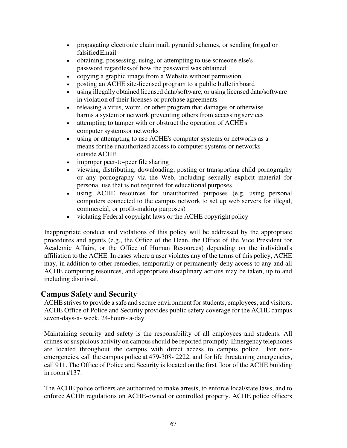- propagating electronic chain mail, pyramid schemes, or sending forged or falsified Email
- obtaining, possessing, using, or attempting to use someone else's password regardless of how the password was obtained
- copying a graphic image from a Website without permission
- posting an ACHE site-licensed program to a public bulletin board
- using illegally obtained licensed data/software, or using licensed data/software in violation of their licenses or purchase agreements
- releasing a virus, worm, or other program that damages or otherwise harms a system or network preventing others from accessing services
- attempting to tamper with or obstruct the operation of ACHE's computer systems or networks
- using or attempting to use ACHE's computer systems or networks as a means for the unauthorized access to computer systems or networks outside ACHE
- improper peer-to-peer file sharing
- viewing, distributing, downloading, posting or transporting child pornography or any pornography via the Web, including sexually explicit material for personal use that is not required for educational purposes
- using ACHE resources for unauthorized purposes (e.g. using personal computers connected to the campus network to set up web servers for illegal, commercial, or profit-making purposes)
- violating Federal copyright laws or the ACHE copyright policy

Inappropriate conduct and violations of this policy will be addressed by the appropriate procedures and agents (e.g., the Office of the Dean, the Office of the Vice President for Academic Affairs, or the Office of Human Resources) depending on the individual's affiliation to the ACHE. In cases where a user violates any of the terms of this policy, ACHE may, in addition to other remedies, temporarily or permanently deny access to any and all ACHE computing resources, and appropriate disciplinary actions may be taken, up to and including dismissal.

# **Campus Safety and Security**

ACHE strives to provide a safe and secure environment for students, employees, and visitors. ACHE Office of Police and Security provides public safety coverage for the ACHE campus seven-days-a- week, 24-hours- a-day.

Maintaining security and safety is the responsibility of all employees and students. All crimes or suspicious activity on campus should be reported promptly. Emergency telephones are located throughout the campus with direct access to campus police. For nonemergencies, call the campus police at 479-308- 2222, and for life threatening emergencies, call 911. The Office of Police and Security is located on the first floor of the ACHE building in room #137.

The ACHE police officers are authorized to make arrests, to enforce local/state laws, and to enforce ACHE regulations on ACHE-owned or controlled property. ACHE police officers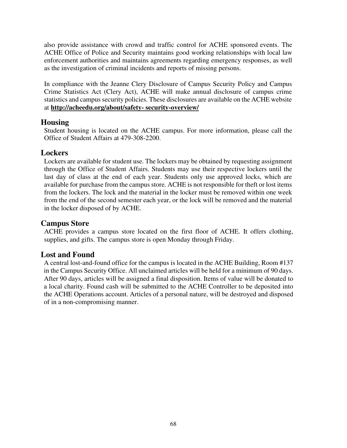also provide assistance with crowd and traffic control for ACHE sponsored events. The ACHE Office of Police and Security maintains good working relationships with local law enforcement authorities and maintains agreements regarding emergency responses, as well as the investigation of criminal incidents and reports of missing persons.

In compliance with the Jeanne Clery Disclosure of Campus Security Policy and Campus Crime Statistics Act (Clery Act), ACHE will make annual disclosure of campus crime statistics and campus security policies. These disclosures are available on the ACHE website at **<http://acheedu.org/about/safety-> [security-overview/](http://arcomedu.org/about/safety-security-overview/?doing_wp_cron=1523026396.2322649955749511718750)** 

# **Housing**

Student housing is located on the ACHE campus. For more information, please call the Office of Student Affairs at 479-308-2200.

# **Lockers**

Lockers are available for student use. The lockers may be obtained by requesting assignment through the Office of Student Affairs. Students may use their respective lockers until the last day of class at the end of each year. Students only use approved locks, which are available for purchase from the campus store. ACHE is not responsible for theft or lost items from the lockers. The lock and the material in the locker must be removed within one week from the end of the second semester each year, or the lock will be removed and the material in the locker disposed of by ACHE.

# **Campus Store**

ACHE provides a campus store located on the first floor of ACHE. It offers clothing, supplies, and gifts. The campus store is open Monday through Friday.

# **Lost and Found**

A central lost-and-found office for the campus is located in the ACHE Building, Room #137 in the Campus Security Office. All unclaimed articles will be held for a minimum of 90 days. After 90 days, articles will be assigned a final disposition. Items of value will be donated to a local charity. Found cash will be submitted to the ACHE Controller to be deposited into the ACHE Operations account. Articles of a personal nature, will be destroyed and disposed of in a non-compromising manner.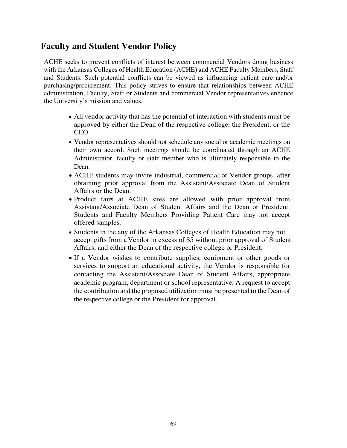# **Faculty and Student Vendor Policy**

ACHE seeks to prevent conflicts of interest between commercial Vendors doing business with the Arkansas Colleges of Health Education (ACHE) and ACHE Faculty Members, Staff and Students. Such potential conflicts can be viewed as influencing patient care and/or purchasing/procurement. This policy strives to ensure that relationships between ACHE administration, Faculty, Staff or Students and commercial Vendor representatives enhance the University's mission and values.

- All vendor activity that has the potential of interaction with students must be approved by either the Dean of the respective college, the President, or the CEO
- Vendor representatives should not schedule any social or academic meetings on their own accord. Such meetings should be coordinated through an ACHE Administrator, faculty or staff member who is ultimately responsible to the Dean.
- ACHE students may invite industrial, commercial or Vendor groups, after obtaining prior approval from the Assistant/Associate Dean of Student Affairs or the Dean.
- Product fairs at ACHE sites are allowed with prior approval from Assistant/Associate Dean of Student Affairs and the Dean or President. Students and Faculty Members Providing Patient Care may not accept offered samples.
- Students in the any of the Arkansas Colleges of Health Education may not accept gifts from a Vendor in excess of \$5 without prior approval of Student Affairs, and either the Dean of the respective college or President.
- If a Vendor wishes to contribute supplies, equipment or other goods or services to support an educational activity, the Vendor is responsible for contacting the Assistant/Associate Dean of Student Affairs, appropriate academic program, department or school representative. A request to accept the contribution and the proposed utilization must be presented to the Dean of the respective college or the President for approval.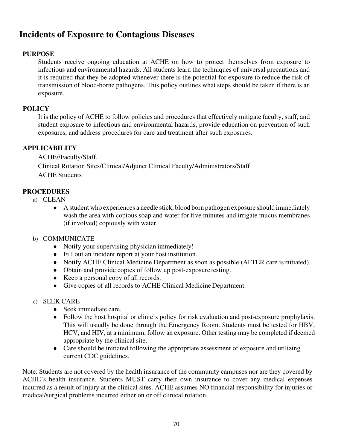# **Incidents of Exposure to Contagious Diseases**

# **PURPOSE**

Students receive ongoing education at ACHE on how to protect themselves from exposure to infectious and environmental hazards. All students learn the techniques of universal precautions and it is required that they be adopted whenever there is the potential for exposure to reduce the risk of transmission of blood-borne pathogens. This policy outlines what steps should be taken if there is an exposure.

## **POLICY**

It is the policy of ACHE to follow policies and procedures that effectively mitigate faculty, staff, and student exposure to infectious and environmental hazards, provide education on prevention of such exposures, and address procedures for care and treatment after such exposures.

# **APPLICABILITY**

ACHE//Faculty/Staff. Clinical Rotation Sites/Clinical/Adjunct Clinical Faculty/Administrators/Staff ACHE Students

# **PROCEDURES**

- a) CLEAN
	- A student who experiences a needle stick, blood born pathogen exposure should immediately wash the area with copious soap and water for five minutes and irrigate mucus membranes (if involved) copiously with water.
- b) COMMUNICATE
	- Notify your supervising physician immediately!
	- Fill out an incident report at your host institution.
	- Notify ACHE Clinical Medicine Department as soon as possible (AFTER care isinitiated).
	- Obtain and provide copies of follow up post-exposure testing.
	- Keep a personal copy of all records.
	- Give copies of all records to ACHE Clinical Medicine Department.
- c) SEEK CARE
	- Seek immediate care.
	- Follow the host hospital or clinic's policy for risk evaluation and post-exposure prophylaxis. This will usually be done through the Emergency Room. Students must be tested for HBV, HCV, and HIV, at a minimum, follow an exposure. Other testing may be completed if deemed appropriate by the clinical site.
	- Care should be initiated following the appropriate assessment of exposure and utilizing current CDC guidelines.

Note: Students are not covered by the health insurance of the community campuses nor are they covered by ACHE's health insurance. Students MUST carry their own insurance to cover any medical expenses incurred as a result of injury at the clinical sites. ACHE assumes NO financial responsibility for injuries or medical/surgical problems incurred either on or off clinical rotation.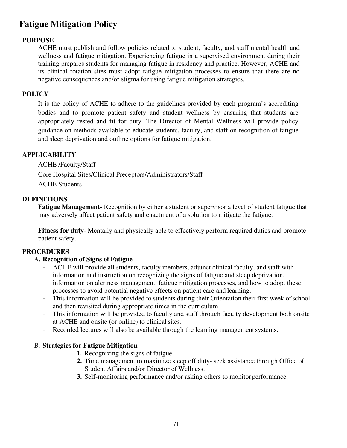# **Fatigue Mitigation Policy**

# **PURPOSE**

ACHE must publish and follow policies related to student, faculty, and staff mental health and wellness and fatigue mitigation. Experiencing fatigue in a supervised environment during their training prepares students for managing fatigue in residency and practice. However, ACHE and its clinical rotation sites must adopt fatigue mitigation processes to ensure that there are no negative consequences and/or stigma for using fatigue mitigation strategies.

## **POLICY**

It is the policy of ACHE to adhere to the guidelines provided by each program's accrediting bodies and to promote patient safety and student wellness by ensuring that students are appropriately rested and fit for duty. The Director of Mental Wellness will provide policy guidance on methods available to educate students, faculty, and staff on recognition of fatigue and sleep deprivation and outline options for fatigue mitigation.

## **APPLICABILITY**

ACHE /Faculty/Staff Core Hospital Sites/Clinical Preceptors/Administrators/Staff ACHE Students

## **DEFINITIONS**

**Fatigue Management-** Recognition by either a student or supervisor a level of student fatigue that may adversely affect patient safety and enactment of a solution to mitigate the fatigue.

**Fitness for duty-** Mentally and physically able to effectively perform required duties and promote patient safety.

## **PROCEDURES**

## **A. Recognition of Signs of Fatigue**

- ACHE will provide all students, faculty members, adjunct clinical faculty, and staff with information and instruction on recognizing the signs of fatigue and sleep deprivation, information on alertness management, fatigue mitigation processes, and how to adopt these processes to avoid potential negative effects on patient care and learning.
- This information will be provided to students during their Orientation their first week of school and then revisited during appropriate times in the curriculum.
- This information will be provided to faculty and staff through faculty development both onsite at ACHE and onsite (or online) to clinical sites.
- Recorded lectures will also be available through the learning management systems.

## **B. Strategies for Fatigue Mitigation**

- **1.** Recognizing the signs of fatigue.
- **2.** Time management to maximize sleep off duty- seek assistance through Office of Student Affairs and/or Director of Wellness.
- **3.** Self-monitoring performance and/or asking others to monitor performance.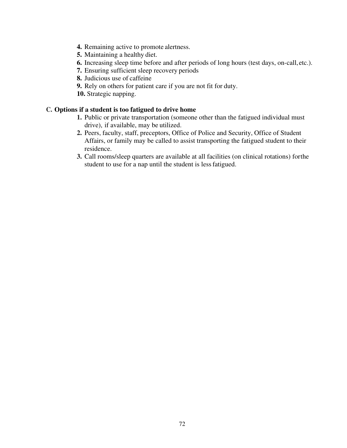- **4.** Remaining active to promote alertness.
- **5.** Maintaining a healthy diet.
- **6.** Increasing sleep time before and after periods of long hours (test days, on-call,etc.).
- **7.** Ensuring sufficient sleep recovery periods
- **8.** Judicious use of caffeine
- **9.** Rely on others for patient care if you are not fit for duty.
- **10.** Strategic napping.

#### **C. Options if a student is too fatigued to drive home**

- **1.** Public or private transportation (someone other than the fatigued individual must drive), if available, may be utilized.
- **2.** Peers, faculty, staff, preceptors, Office of Police and Security, Office of Student Affairs, or family may be called to assist transporting the fatigued student to their residence.
- **3.** Call rooms/sleep quarters are available at all facilities (on clinical rotations) forthe student to use for a nap until the student is less fatigued.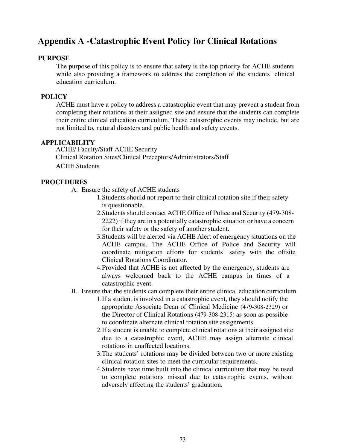## **Appendix A -Catastrophic Event Policy for Clinical Rotations**

### **PURPOSE**

The purpose of this policy is to ensure that safety is the top priority for ACHE students while also providing a framework to address the completion of the students' clinical education curriculum.

### **POLICY**

ACHE must have a policy to address a catastrophic event that may prevent a student from completing their rotations at their assigned site and ensure that the students can complete their entire clinical education curriculum. These catastrophic events may include, but are not limited to, natural disasters and public health and safety events.

#### **APPLICABILITY**

ACHE/ Faculty/Staff ACHE Security Clinical Rotation Sites/Clinical Preceptors/Administrators/Staff ACHE Students

### **PROCEDURES**

- A. Ensure the safety of ACHE students
	- 1.Students should not report to their clinical rotation site if their safety is questionable.
	- 2.Students should contact ACHE Office of Police and Security (479-308- 2222) if they are in a potentially catastrophic situation or have a concern for their safety or the safety of another student.
	- 3.Students will be alerted via ACHE Alert of emergency situations on the ACHE campus. The ACHE Office of Police and Security will coordinate mitigation efforts for students' safety with the offsite Clinical Rotations Coordinator.
	- 4.Provided that ACHE is not affected by the emergency, students are always welcomed back to the ACHE campus in times of a catastrophic event.
- B. Ensure that the students can complete their entire clinical education curriculum
	- 1.If a student is involved in a catastrophic event, they should notify the appropriate Associate Dean of Clinical Medicine (479-308-2329) or the Director of Clinical Rotations (479-308-2315) as soon as possible to coordinate alternate clinical rotation site assignments.
	- 2.If a student is unable to complete clinical rotations at their assigned site due to a catastrophic event, ACHE may assign alternate clinical rotations in unaffected locations.
	- 3.The students' rotations may be divided between two or more existing clinical rotation sites to meet the curricular requirements.
	- 4.Students have time built into the clinical curriculum that may be used to complete rotations missed due to catastrophic events, without adversely affecting the students' graduation.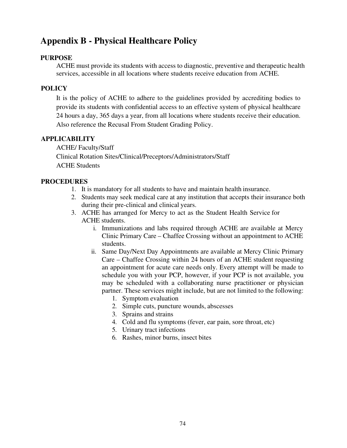# **Appendix B - Physical Healthcare Policy**

### **PURPOSE**

ACHE must provide its students with access to diagnostic, preventive and therapeutic health services, accessible in all locations where students receive education from ACHE.

## **POLICY**

It is the policy of ACHE to adhere to the guidelines provided by accrediting bodies to provide its students with confidential access to an effective system of physical healthcare 24 hours a day, 365 days a year, from all locations where students receive their education. Also reference the Recusal From Student Grading Policy.

## **APPLICABILITY**

ACHE/ Faculty/Staff Clinical Rotation Sites/Clinical/Preceptors/Administrators/Staff ACHE Students

### **PROCEDURES**

- 1. It is mandatory for all students to have and maintain health insurance.
- 2. Students may seek medical care at any institution that accepts their insurance both during their pre-clinical and clinical years.
- 3. ACHE has arranged for Mercy to act as the Student Health Service for ACHE students.
	- i. Immunizations and labs required through ACHE are available at Mercy Clinic Primary Care – Chaffee Crossing without an appointment to ACHE students.
	- ii. Same Day/Next Day Appointments are available at Mercy Clinic Primary Care – Chaffee Crossing within 24 hours of an ACHE student requesting an appointment for acute care needs only. Every attempt will be made to schedule you with your PCP, however, if your PCP is not available, you may be scheduled with a collaborating nurse practitioner or physician partner. These services might include, but are not limited to the following:
		- 1. Symptom evaluation
		- 2. Simple cuts, puncture wounds, abscesses
		- 3. Sprains and strains
		- 4. Cold and flu symptoms (fever, ear pain, sore throat, etc)
		- 5. Urinary tract infections
		- 6. Rashes, minor burns, insect bites